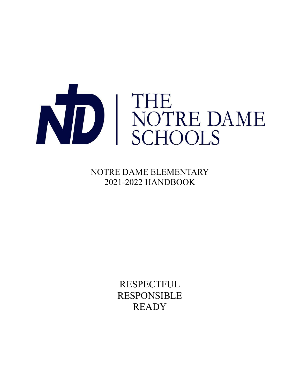

NOTRE DAME ELEMENTARY 2021-2022 HANDBOOK

> **RESPECTFUL** RESPONSIBLE **READY**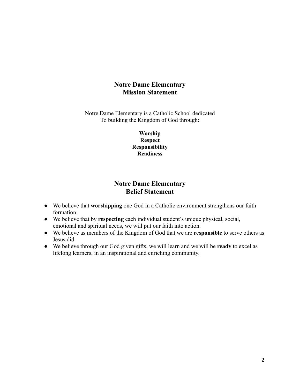# **Notre Dame Elementary Mission Statement**

Notre Dame Elementary is a Catholic School dedicated To building the Kingdom of God through:

> **Worship Respect Responsibility Readiness**

# **Notre Dame Elementary Belief Statement**

- We believe that **worshipping** one God in a Catholic environment strengthens our faith formation.
- We believe that by **respecting** each individual student's unique physical, social, emotional and spiritual needs, we will put our faith into action.
- We believe as members of the Kingdom of God that we are **responsible** to serve others as Jesus did.
- We believe through our God given gifts, we will learn and we will be **ready** to excel as lifelong learners, in an inspirational and enriching community.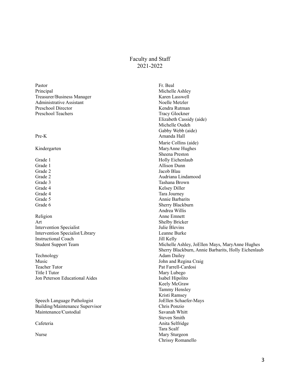# Faculty and Staff 2021-2022

Pastor Fr. Beal Principal Michelle Ashley Treasurer/Business Manager Karen Lasswell Administrative Assistant Noelle Metzler Preschool Director Kendra Rutman Preschool Teachers Tracy Glockner

Religion Anne Emnett Art Shelby Bricker Intervention Specialist Julie Blevins Intervention Specialist/Library Leanne Burke Instructional Coach Jill Kelly

Technology Adam Dailey Music<br>
Teacher Tutor<br>
Teacher Tutor<br>
Teacher Tutor<br>
Teacher Tutor<br>
Teacher Tutor<br>
Teacher Tutor<br>
Teacher Tutor<br>
Teacher Tutor<br>
Teacher Tutor<br>
Teacher Tutor<br>
Teacher Tutor<br>
Teacher Tutor<br>
Teacher Tutor<br>
Teacher Tutor<br>
Teach Title I Tutor Mary Lubego Jon Peterson Educational Aides Isabel Hipolito

Speech Language Pathologist JoEllen Schaefer-Mays Building/Maintenance Supervisor Chris Ponzio Maintenance/Custodial Savanah Whitt

Elizabeth Cassidy (aide) Michelle Oudeh Gabby Webb (aide) Pre-K Amanda Hall Marie Collins (aide) Kindergarten MaryAnne Hughes Sheena Preston Grade 1 Holly Eichenlaub Grade 1 Allison Dunn Grade 2 Jacob Blau Grade 2 Audriana Lindamood Grade 3 Tashana Brown Grade 4 Kelsey Diller Grade 4 Tara Journey Grade 5 Annie Barbarits Grade 6 Sherry Blackburn Andrea Willis Student Support Team Michelle Ashley, JoEllen Mays, MaryAnne Hughes Sherry Blackburn, Annie Barbarits, Holly Eichenlaub Pat Farrell-Cardosi Keely McGraw Tammy Hensley Kristi Ramsey Steven Smith Cafeteria Anita Selfridge Tara Scalf Nurse Mary Sturgeon Chrissy Romanello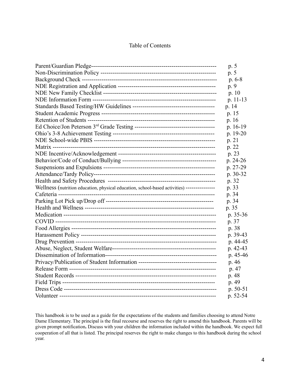# Table of Contents

|                                                                                             | p. 5       |
|---------------------------------------------------------------------------------------------|------------|
|                                                                                             | p. 5       |
|                                                                                             | $p.6-8$    |
|                                                                                             | p. 9       |
|                                                                                             | p.10       |
|                                                                                             | p. 11-13   |
|                                                                                             | p. 14      |
|                                                                                             | p. 15      |
|                                                                                             | p. 16      |
|                                                                                             | p. 16-19   |
|                                                                                             | $p. 19-20$ |
|                                                                                             | p. 21      |
|                                                                                             | p. 22      |
|                                                                                             | p. 23      |
|                                                                                             | p. 24-26   |
|                                                                                             | p. 27-29   |
|                                                                                             | p. 30-32   |
|                                                                                             | p. 32      |
| Wellness (nutrition education, physical education, school-based activities) --------------- | p. 33      |
|                                                                                             | p. 34      |
|                                                                                             | p. 34      |
|                                                                                             | p. 35      |
|                                                                                             | p. 35-36   |
|                                                                                             | p. 37      |
|                                                                                             | p. 38      |
|                                                                                             | p. 39-43   |
|                                                                                             | p. 44-45   |
|                                                                                             | p. 42-43   |
|                                                                                             | p. 45-46   |
|                                                                                             | p. 46      |
|                                                                                             | p. 47      |
|                                                                                             | p. 48      |
|                                                                                             | p. 49      |
|                                                                                             | p. 50-51   |
|                                                                                             | p. 52-54   |

This handbook is to be used as a guide for the expectations of the students and families choosing to attend Notre Dame Elementary. The principal is the final recourse and reserves the right to amend this handbook. Parents will be given prompt notification**.** Discuss with your children the information included within the handbook. We expect full cooperation of all that is listed. The principal reserves the right to make changes to this handbook during the school year.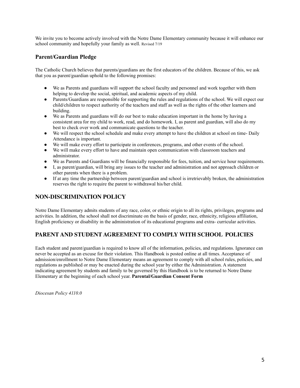We invite you to become actively involved with the Notre Dame Elementary community because it will enhance our school community and hopefully your family as well. Revised 7/19

# **Parent/Guardian Pledge**

The Catholic Church believes that parents/guardians are the first educators of the children. Because of this, we ask that you as parent/guardian uphold to the following promises:

- We as Parents and guardians will support the school faculty and personnel and work together with them helping to develop the social, spiritual, and academic aspects of my child.
- Parents/Guardians are responsible for supporting the rules and regulations of the school. We will expect our child/children to respect authority of the teachers and staff as well as the rights of the other learners and building.
- We as Parents and guardians will do our best to make education important in the home by having a consistent area for my child to work, read, and do homework. I, as parent and guardian, will also do my best to check over work and communicate questions to the teacher.
- We will respect the school schedule and make every attempt to have the children at school on time- Daily Attendance is important.
- We will make every effort to participate in conferences, programs, and other events of the school.
- We will make every effort to have and maintain open communication with classroom teachers and administrator.
- We as Parents and Guardians will be financially responsible for fees, tuition, and service hour requirements.
- I, as parent/guardian, will bring any issues to the teacher and administration and not approach children or other parents when there is a problem.
- If at any time the partnership between parent/guardian and school is irretrievably broken, the administration reserves the right to require the parent to withdrawal his/her child.

# **NON-DISCRIMINATION POLICY**

Notre Dame Elementary admits students of any race, color, or ethnic origin to all its rights, privileges, programs and activities. In addition, the school shall not discriminate on the basis of gender, race, ethnicity, religious affiliation, English proficiency or disability in the administration of its educational programs and extra- curricular activities.

# **PARENT AND STUDENT AGREEMENT TO COMPLY WITH SCHOOL POLICIES**

Each student and parent/guardian is required to know all of the information, policies, and regulations. Ignorance can never be accepted as an excuse for their violation. This Handbook is posted online at all times. Acceptance of admission/enrollment to Notre Dame Elementary means an agreement to comply with all school rules, policies, and regulations as published or may be enacted during the school year by either the Administration. A statement indicating agreement by students and family to be governed by this Handbook is to be returned to Notre Dame Elementary at the beginning of each school year. **Parental/Guardian Consent Form**

*Diocesan Policy 4110.0*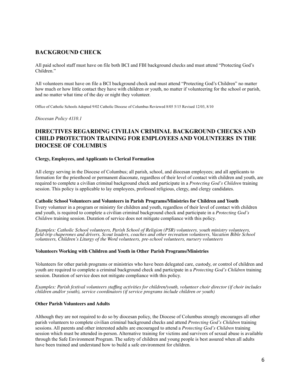# **BACKGROUND CHECK**

All paid school staff must have on file both BCI and FBI background checks and must attend "Protecting God's Children."

All volunteers must have on file a BCI background check and must attend "Protecting God's Children" no matter how much or how little contact they have with children or youth, no matter if volunteering for the school or parish, and no matter what time of the day or night they volunteer.

Office of Catholic Schools Adopted 9/02 Catholic Diocese of Columbus Reviewed 8/05 5/15 Revised 12/03, 8/10

*Diocesan Policy 4110.1*

# **DIRECTIVES REGARDING CIVILIAN CRIMINAL BACKGROUND CHECKS AND CHILD PROTECTION TRAINING FOR EMPLOYEES AND VOLUNTEERS IN THE DIOCESE OF COLUMBUS**

#### **Clergy, Employees, and Applicants to Clerical Formation**

All clergy serving in the Diocese of Columbus; all parish, school, and diocesan employees; and all applicants to formation for the priesthood or permanent diaconate, regardless of their level of contact with children and youth, are required to complete a civilian criminal background check and participate in a *Protecting God's Children* training session. This policy is applicable to lay employees, professed religious, clergy, and clergy candidates.

#### **Catholic School Volunteers and Volunteers in Parish Programs/Ministries for Children and Youth**

Every volunteer in a program or ministry for children and youth, regardless of their level of contact with children and youth, is required to complete a civilian criminal background check and participate in a *Protecting God's Children* training session. Duration of service does not mitigate compliance with this policy.

*Examples: Catholic School volunteers, Parish School of Religion (PSR) volunteers, youth ministry volunteers, field-trip chaperones and drivers, Scout leaders, coaches and other recreation volunteers, Vacation Bible School volunteers, Children's Liturgy of the Word volunteers, pre-school volunteers, nursery volunteers*

#### **Volunteers Working with Children and Youth in Other Parish Programs/Ministries**

Volunteers for other parish programs or ministries who have been delegated care, custody, or control of children and youth are required to complete a criminal background check and participate in a *Protecting God's Children* training session. Duration of service does not mitigate compliance with this policy.

*Examples: Parish festival volunteers staffing activities for children/youth, volunteer choir director (if choir includes children and/or youth), service coordinators (if service programs include children or youth)*

#### **Other Parish Volunteers and Adults**

Although they are not required to do so by diocesan policy, the Diocese of Columbus strongly encourages all other parish volunteers to complete civilian criminal background checks and attend *Protecting God's Children* training sessions. All parents and other interested adults are encouraged to attend a *Protecting God's Children* training session which must be attended in-person. Alternative training for victims and survivors of sexual abuse is available through the Safe Environment Program. The safety of children and young people is best assured when all adults have been trained and understand how to build a safe environment for children.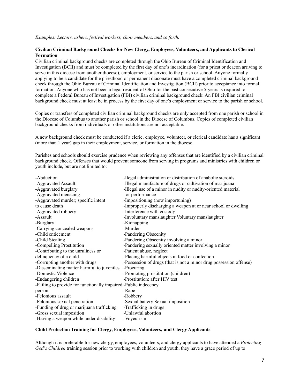#### *Examples: Lectors, ushers, festival workers, choir members, and so forth.*

### **Civilian Criminal Background Checks for New Clergy, Employees, Volunteers, and Applicants to Clerical Formation**

Civilian criminal background checks are completed through the Ohio Bureau of Criminal Identification and Investigation (BCII) and must be completed by the first day of one's incardination (for a priest or deacon arriving to serve in this diocese from another diocese), employment, or service to the parish or school. Anyone formally applying to be a candidate for the priesthood or permanent diaconate must have a completed criminal background check through the Ohio Bureau of Criminal Identification and Investigation (BCII) prior to acceptance into formal formation. Anyone who has not been a legal resident of Ohio for the past consecutive 5-years is required to complete a Federal Bureau of Investigation (FBI) civilian criminal background check. An FBI civilian criminal background check must at least be in process by the first day of one's employment or service to the parish or school.

Copies or transfers of completed civilian criminal background checks are only accepted from one parish or school in the Diocese of Columbus to another parish or school in the Diocese of Columbus. Copies of completed civilian background checks from individuals or other institutions are not acceptable.

A new background check must be conducted if a cleric, employee, volunteer, or clerical candidate has a significant (more than 1 year) gap in their employment, service, or formation in the diocese.

Parishes and schools should exercise prudence when reviewing any offenses that are identified by a civilian criminal background check. Offenses that would prevent someone from serving in programs and ministries with children or youth include, but are not limited to:

| -Abduction                                                      | -Ilegal administration or distribution of anabolic steroids        |
|-----------------------------------------------------------------|--------------------------------------------------------------------|
| -Aggravated Assault                                             | -Illegal manufacture of drugs or cultivation of marijuana          |
| -Aggravated burglary                                            | -Illegal use of a minor in nudity or nudity-oriented material      |
| -Aggravated menacing                                            | or performance                                                     |
| -Aggravated murder; specific intent                             | -Impositioning (now importuning)                                   |
| to cause death                                                  | -Improperly discharging a weapon at or near school or dwelling     |
| -Aggravated robbery                                             | -Interference with custody                                         |
| -Assault                                                        | -Involuntary manslaughter Voluntary manslaughter                   |
| -Burglary                                                       | -Kidnapping                                                        |
| -Carrying concealed weapons                                     | -Murder                                                            |
| -Child enticement                                               | -Pandering Obscenity                                               |
| -Child Stealing                                                 | -Pandering Obscenity involving a minor                             |
| -Compelling Prostitution                                        | -Pandering sexually oriented matter involving a minor              |
| -Contributing to the unruliness or                              | -Patient abuse, neglect                                            |
| delinquency of a child                                          | -Placing harmful objects in food or confection                     |
| -Corrupting another with drugs                                  | -Possession of drugs (that is not a minor drug possession offense) |
| -Disseminating matter harmful to juveniles                      | -Procuring                                                         |
| -Domestic Violence                                              | -Promoting prostitution (children)                                 |
| -Endangering children                                           | -Prostitution: after HIV test                                      |
| -Failing to provide for functionally impaired -Public indecency |                                                                    |
| person                                                          | -Rape                                                              |
| -Felonious assault                                              | -Robbery                                                           |
| -Felonious sexual penetration                                   | -Sexual battery Sexual imposition                                  |
| -Funding of drug or marijuana trafficking                       | -Trafficking in drugs                                              |
| -Gross sexual imposition                                        | -Unlawful abortion                                                 |
| -Having a weapon while under disability                         | -Voyeurism                                                         |
|                                                                 |                                                                    |

#### **Child Protection Training for Clergy, Employees, Volunteers, and Clergy Applicants**

Although it is preferable for new clergy, employees, volunteers, and clergy applicants to have attended a *Protecting God's Children* training session prior to working with children and youth, they have a grace period of up to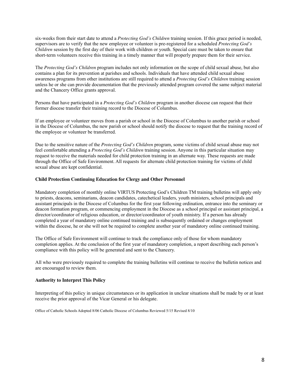six-weeks from their start date to attend a *Protecting God's Children* training session. If this grace period is needed, supervisors are to verify that the new employee or volunteer is pre-registered for a scheduled *Protecting God's Children* session by the first day of their work with children or youth. Special care must be taken to ensure that short-term volunteers receive this training in a timely manner that will properly prepare them for their service.

The *Protecting God's Children* program includes not only information on the scope of child sexual abuse, but also contains a plan for its prevention at parishes and schools. Individuals that have attended child sexual abuse awareness programs from other institutions are still required to attend a *Protecting God's Children* training session unless he or she can provide documentation that the previously attended program covered the same subject material and the Chancery Office grants approval.

Persons that have participated in a *Protecting God's Children* program in another diocese can request that their former diocese transfer their training record to the Diocese of Columbus.

If an employee or volunteer moves from a parish or school in the Diocese of Columbus to another parish or school in the Diocese of Columbus, the new parish or school should notify the diocese to request that the training record of the employee or volunteer be transferred.

Due to the sensitive nature of the *Protecting God's Children* program, some victims of child sexual abuse may not feel comfortable attending a *Protecting God's Children* training session. Anyone in this particular situation may request to receive the materials needed for child protection training in an alternate way. These requests are made through the Office of Safe Environment. All requests for alternate child protection training for victims of child sexual abuse are kept confidential.

### **Child Protection Continuing Education for Clergy and Other Personnel**

Mandatory completion of monthly online VIRTUS Protecting God's Children TM training bulletins will apply only to priests, deacons, seminarians, deacon candidates, catechetical leaders, youth ministers, school principals and assistant principals in the Diocese of Columbus for the first year following ordination, entrance into the seminary or deacon formation program, or commencing employment in the Diocese as a school principal or assistant principal, a director/coordinator of religious education, or director/coordinator of youth ministry. If a person has already completed a year of mandatory online continued training and is subsequently ordained or changes employment within the diocese, he or she will not be required to complete another year of mandatory online continued training.

The Office of Safe Environment will continue to track the compliance only of those for whom mandatory completion applies. At the conclusion of the first year of mandatory completion, a report describing each person's compliance with this policy will be generated and sent to the Chancery.

All who were previously required to complete the training bulletins will continue to receive the bulletin notices and are encouraged to review them.

#### **Authority to Interpret This Policy**

Interpreting of this policy in unique circumstances or its application in unclear situations shall be made by or at least receive the prior approval of the Vicar General or his delegate.

Office of Catholic Schools Adopted 8/06 Catholic Diocese of Columbus Reviewed 5/15 Revised 8/10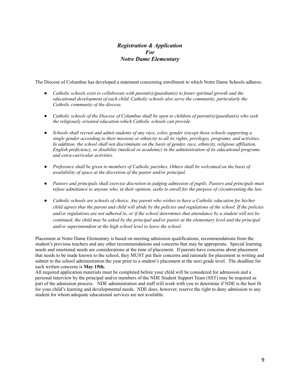# *Registration & Application For Notre Dame Elementary*

The Diocese of Columbus has developed a statement concerning enrollment to which Notre Dame Schools adheres:

- *● Catholic schools exist to collaborate with parent(s)/guardian(s) to foster spiritual growth and the educational development of each child. Catholic schools also serve the community, particularly the Catholic community of the diocese.*
- *● Catholic schools of the Diocese of Columbus shall be open to children of parent(s)/guardian(s) who seek the religiously oriented education which Catholic schools can provide.*
- *● Schools shall recruit and admit students of any race, color, gender (except those schools supporting a single gender according to their mission) or ethnicity to all its rights, privileges, programs, and activities.* In addition, the school shall not discriminate on the basis of gender, race, ethnicity, religious affiliation, *English proficiency, or disability (medical or academic) in the administration of its educational programs and extra-curricular activities.*
- Preference shall be given to members of Catholic parishes. Others shall be welcomed on the basis of *availability of space at the discretion of the pastor and/or principal.*
- *● Pastors and principals shall exercise discretion in judging admission of pupils. Pastors and principals must* refuse admittance to anyone who, in their opinion, seeks to enroll for the purpose of circumventing the law.
- Catholic schools are schools of choice. Any parent who wishes to have a Catholic education for his/her child agrees that the parent and child will abide by the policies and regulations of the school. If the policies and/or regulations are not adhered to, or if the school determines that attendance by a student will not be continued, the child may be asked by the principal and/or pastor at the elementary level and the principal *and/or superintendent at the high school level to leave the school.*

Placement at Notre Dame Elementary is based on meeting admission qualifications, recommendations from the student's previous teachers and any other recommendations and concerns that may be appropriate. Special learning needs and emotional needs are considerations at the time of placement. If parents have concerns about placement that needs to be made known to the school, they MUST put their concerns and rationale for placement in writing and submit to the school administration the year prior to a student's placement at the next grade level. The deadline for such written concerns is **May 15th.**

All required application materials must be completed before your child will be considered for admission and a personal interview by the principal and/or members of the NDE Student Support Team (SST) may be required as part of the admission process. NDE administration and staff will work with you to determine if NDE is the best fit for your child's learning and developmental needs. NDE does, however, reserve the right to deny admission to any student for whom adequate educational services are not available.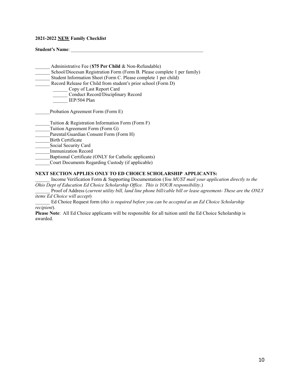#### **2021-2022 NEW Family Checklist**

**Student's Name**: \_\_\_\_\_\_\_\_\_\_\_\_\_\_\_\_\_\_\_\_\_\_\_\_\_\_\_\_\_\_\_\_\_\_\_\_\_\_\_\_\_\_\_\_\_\_\_\_\_\_\_\_\_\_

- \_\_\_\_\_\_ Administrative Fee (**\$75 Per Child** & Non-Refundable) School/Diocesan Registration Form (Form B. Please complete 1 per family) Student Information Sheet (Form C. Please complete 1 per child)
- Record Release for Child from student's prior school (Form D)
	- \_\_\_\_\_\_ Copy of Last Report Card
		- \_\_\_\_\_\_ Conduct Record/Disciplinary Record
		- IEP/504 Plan

Probation Agreement Form (Form E)

- Tuition  $&$  Registration Information Form (Form F)
- Tuition Agreement Form (Form G)
- Parental/Guardian Consent Form (Form H)

\_\_\_\_\_\_Birth Certificate

Social Security Card

\_\_\_\_\_\_Immunization Record

Baptismal Certificate (ONLY for Catholic applicants)

Court Documents Regarding Custody (if applicable)

### **NEXT SECTION APPLIES ONLY TO ED CHOICE SCHOLARSHIP APPLICANTS:**

\_\_\_\_\_\_ Income Verification Form & Supporting Documentation (*You MUST mail your application directly to the Ohio Dept of Education Ed Choice Scholarship Of ice. This is YOUR responsibility*.)

\_\_\_\_\_\_ Proof of Address (*current utility bill, land line phone bill/cable bill or lease agreement- These are the ONLY items Ed Choice will accept*)

\_\_\_\_\_\_ Ed Choice Request form (*this is required before you can be accepted as an Ed Choice Scholarship recipient*).

**Please Note**: All Ed Choice applicants will be responsible for all tuition until the Ed Choice Scholarship is awarded.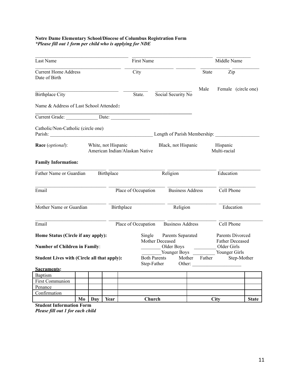### **Notre Dame Elementary School/Diocese of Columbus Registration Form** *\*Please fill out 1 form per child who is applying for NDE*

| Last Name                                                                  |    |     |                     | First Name                     |                 |                                    |                         | Middle Name                                                                       |                          |                     |
|----------------------------------------------------------------------------|----|-----|---------------------|--------------------------------|-----------------|------------------------------------|-------------------------|-----------------------------------------------------------------------------------|--------------------------|---------------------|
| <b>Current Home Address</b><br>Date of Birth                               |    |     |                     | City                           |                 |                                    |                         | State                                                                             | Zip                      |                     |
| <b>Birthplace City</b>                                                     |    |     |                     |                                | State.          |                                    | Social Security No      | Male                                                                              |                          | Female (circle one) |
| Name & Address of Last School Attended:                                    |    |     |                     |                                |                 |                                    |                         |                                                                                   |                          |                     |
| Current Grade: Date:                                                       |    |     |                     |                                |                 |                                    |                         |                                                                                   |                          |                     |
| Catholic/Non-Catholic (circle one)                                         |    |     |                     |                                |                 |                                    |                         | Length of Parish Membership:                                                      |                          |                     |
| Race (optional):                                                           |    |     | White, not Hispanic | American Indian/Alaskan Native |                 |                                    | Black, not Hispanic     |                                                                                   | Hispanic<br>Multi-racial |                     |
| <b>Family Information:</b>                                                 |    |     |                     |                                |                 |                                    |                         |                                                                                   |                          |                     |
| Father Name or Guardian                                                    |    |     | Birthplace          |                                |                 |                                    | $\overline{Religion}$   |                                                                                   | Education                |                     |
| Email                                                                      |    |     |                     | Place of Occupation            |                 |                                    | <b>Business Address</b> |                                                                                   | Cell Phone               |                     |
| Mother Name or Guardian<br>Birthplace                                      |    |     |                     | Religion                       |                 |                                    | Education               |                                                                                   |                          |                     |
| Email                                                                      |    |     |                     | Place of Occupation            |                 |                                    | <b>Business Address</b> |                                                                                   | Cell Phone               |                     |
| Home Status (Circle if any apply):<br><b>Number of Children in Family:</b> |    |     |                     | Single                         | Mother Deceased | Parents Separated<br>Older Boys    |                         | <b>Father Deceased</b><br>Older Girls                                             | Parents Divorced         |                     |
| Student Lives with (Circle all that apply):                                |    |     |                     |                                |                 | <b>Both Parents</b><br>Step-Father |                         | Younger Boys Younger Girls<br>Mother Father Step-Mother<br>Other: $\qquad \qquad$ |                          |                     |
| <b>Sacraments:</b>                                                         |    |     |                     |                                |                 |                                    |                         |                                                                                   |                          |                     |
| Baptism                                                                    |    |     |                     |                                |                 |                                    |                         |                                                                                   |                          |                     |
| <b>First Communion</b>                                                     |    |     |                     |                                |                 |                                    |                         |                                                                                   |                          |                     |
| Penance                                                                    |    |     |                     |                                |                 |                                    |                         |                                                                                   |                          |                     |
| Confirmation                                                               |    |     |                     |                                |                 |                                    |                         |                                                                                   |                          |                     |
|                                                                            | Mo | Day | Year                |                                | Church          |                                    |                         |                                                                                   | <b>City</b>              | <b>State</b>        |

**Student Information Form** *Please fill out 1 for each child*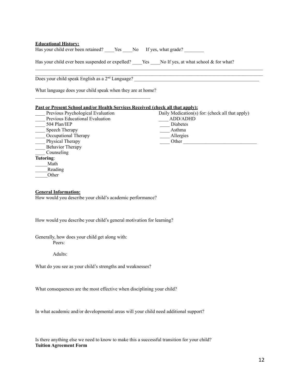| <b>Educational History:</b>                                                               |                                                 |  |  |  |  |
|-------------------------------------------------------------------------------------------|-------------------------------------------------|--|--|--|--|
| Has your child ever been suspended or expelled? Yes No If yes, at what school & for what? |                                                 |  |  |  |  |
|                                                                                           |                                                 |  |  |  |  |
| What language does your child speak when they are at home?                                |                                                 |  |  |  |  |
| Past or Present School and/or Health Services Received (check all that apply):            |                                                 |  |  |  |  |
| Previous Psychological Evaluation                                                         | Daily Medication(s) for: (check all that apply) |  |  |  |  |
| Previous Educational Evaluation                                                           | ADD/ADHD                                        |  |  |  |  |
| 504 Plan/IEP<br>$\overline{\phantom{a}}$                                                  | Diabetes                                        |  |  |  |  |
| Speech Therapy                                                                            | ___ Asthma                                      |  |  |  |  |
| Occupational Therapy                                                                      | __ Allergies                                    |  |  |  |  |
| $\frac{2}{\pi}$ Physical Therapy                                                          |                                                 |  |  |  |  |
| <b>Behavior Therapy</b>                                                                   |                                                 |  |  |  |  |
| Counseling                                                                                |                                                 |  |  |  |  |
| Tutoring:                                                                                 |                                                 |  |  |  |  |
| Math                                                                                      |                                                 |  |  |  |  |
| Reading                                                                                   |                                                 |  |  |  |  |
| Other                                                                                     |                                                 |  |  |  |  |
| <b>General Information:</b>                                                               |                                                 |  |  |  |  |
| How would you describe your child's academic performance?                                 |                                                 |  |  |  |  |
| How would you describe your child's general motivation for learning?                      |                                                 |  |  |  |  |
| Generally, how does your child get along with:<br>Peers:                                  |                                                 |  |  |  |  |
| Adults:                                                                                   |                                                 |  |  |  |  |
| What do you see as your child's strengths and weaknesses?                                 |                                                 |  |  |  |  |
| What consequences are the most effective when disciplining your child?                    |                                                 |  |  |  |  |
| In what academic and/or developmental areas will your child need additional support?      |                                                 |  |  |  |  |

Is there anything else we need to know to make this a successful transition for your child? **Tuition Agreement Form**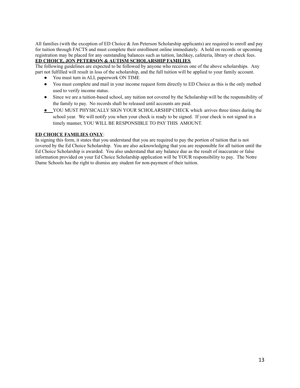All families (with the exception of ED Choice & Jon Peterson Scholarship applicants) are required to enroll and pay for tuition through FACTS and must complete their enrollment online immediately. A hold on records or upcoming registration may be placed for any outstanding balances such as tuition, latchkey, cafeteria, library or check fees.

### **ED CHOICE, JON PETERSON & AUTISM SCHOLARSHIP FAMILIES**

The following guidelines are expected to be followed by anyone who receives one of the above scholarships. Any part not fulfilled will result in loss of the scholarship, and the full tuition will be applied to your family account.

- You must turn in ALL paperwork ON TIME
- You must complete and mail in your income request form directly to ED Choice as this is the only method used to verify income status.
- Since we are a tuition-based school, any tuition not covered by the Scholarship will be the responsibility of the family to pay. No records shall be released until accounts are paid.
- **●** YOU MUST PHYSICALLY SIGN YOUR SCHOLARSHIP CHECK which arrives three times during the school year. We will notify you when your check is ready to be signed. If your check is not signed in a timely manner, YOU WILL BE RESPONSIBLE TO PAY THIS AMOUNT.

#### **ED CHOICE FAMILIES ONLY**:

In signing this form, it states that you understand that you are required to pay the portion of tuition that is not covered by the Ed Choice Scholarship. You are also acknowledging that you are responsible for all tuition until the Ed Choice Scholarship is awarded. You also understand that any balance due as the result of inaccurate or false information provided on your Ed Choice Scholarship application will be YOUR responsibility to pay. The Notre Dame Schools has the right to dismiss any student for non-payment of their tuition.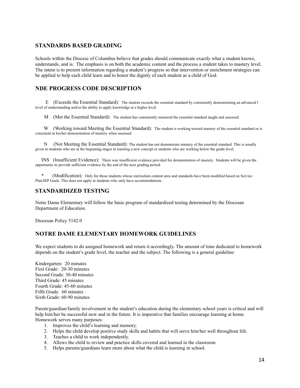# **STANDARDS BASED GRADING**

Schools within the Diocese of Columbus believe that grades should communicate exactly what a student knows, understands, and is. The emphasis is on both the academic content and the process a student takes to mastery level. The intent is to present information regarding a student's progress so that intervention or enrichment strategies can be applied to help each child learn and to honor the dignity of each student as a child of God.

# **NDE PROGRESS CODE DESCRIPTION**

E (Exceeds the Essential Standard): The student exceeds the essential standard by consistently demonstrating an advanced l level of understanding and/or the ability to apply knowledge at a higher level.

M (Met the Essential Standard): The student has consistently mastered the essential standard taught and assessed.

W (Working toward Meeting the Essential Standard): The student is working toward mastery of the essential standard or is consistent in his/her demonstration of mastery when assessed.

N (Not Meeting the Essential Standard): The student has not demonstrate mastery of the essential standard. This is usually given to students who are at the beginning stages in learning a new concept or students who are working below the grade level.

INS (Insufficient Evidence): There was insufficient evidence provided for demonstration of mastery. Students will be given the opportunity to provide sufficient evidence by the end of the next grading period.

(Modification): Only for those students whose curriculum content area and standards have been modified based on Service Plan/IEP Goals. This does not apply to students who only have accommodations.

### **STANDARDIZED TESTING**

Notre Dame Elementary will follow the basic program of standardized testing determined by the Diocesan Department of Education.

Diocesan Policy 5142.0

# **NOTRE DAME ELEMENTARY HOMEWORK GUIDELINES**

We expect students to do assigned homework and return it accordingly. The amount of time dedicated to homework depends on the student's grade level, the teacher and the subject. The following is a general guideline:

Kindergarten: 20 minutes First Grade: 20-30 minutes Second Grade: 30-40 minutes Third Grade: 45 minutes Fourth Grade: 45-60 minutes Fifth Grade: 60 minutes Sixth Grade: 60-90 minutes

Parent/guardian/family involvement in the student's education during the elementary school years is critical and will help him/her be successful now and in the future. It is imperative that families encourage learning at home. Homework serves many purposes:

- 1. Improves the child's learning and memory.
- 2. Helps the child develop positive study skills and habits that will serve him/her well throughout life.
- 3. Teaches a child to work independently.
- 4. Allows the child to review and practice skills covered and learned in the classroom.
- 5. Helps parents/guardians learn more about what the child is learning in school.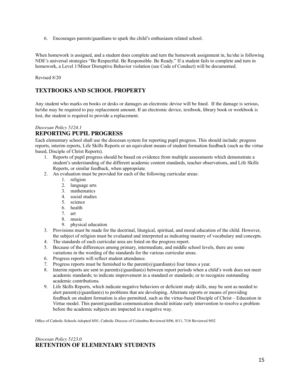6. Encourages parents/guardians to spark the child's enthusiasm related school.

When homework is assigned, and a student does complete and turn the homework assignment in, he/she is following NDE's universal strategies "Be Respectful. Be Responsible. Be Ready." If a student fails to complete and turn in homework, a Level 1/Minor Disruptive Behavior violation (see Code of Conduct) will be documented.

Revised 8/20

# **TEXTBOOKS AND SCHOOL PROPERTY**

Any student who marks on books or desks or damages an electronic devise will be fined. If the damage is serious, he/she may be required to pay replacement amount. If an electronic device, textbook, library book or workbook is lost, the student is required to provide a replacement.

## *Diocesan Policy 5124.1* **REPORTING PUPIL PROGRESS**

Each elementary school shall use the diocesan system for reporting pupil progress. This should include: progress reports, interim reports, Life Skills Reports or an equivalent means of student formation feedback (such as the virtue based, Disciple of Christ Reports).

- 1. Reports of pupil progress should be based on evidence from multiple assessments which demonstrate a student's understanding of the different academic content standards, teacher observations, and Life Skills Reports, or similar feedback, when appropriate.
- 2. An evaluation must be provided for each of the following curricular areas:
	- 1. religion
	- 2. language arts
	- 3. mathematics
	- 4. social studies
	- 5. science
	- 6. health
	- 7. art
	- 8. music
	- 9. physical education
- 3. Provisions must be made for the doctrinal, liturgical, spiritual, and moral education of the child. However, the subject of religion must be evaluated and interpreted as indicating mastery of vocabulary and concepts.
- 4. The standards of each curricular area are listed on the progress report.
- 5. Because of the differences among primary, intermediate, and middle school levels, there are some variations in the wording of the standards for the various curricular areas.
- 6. Progress reports will reflect student attendance.
- 7. Progress reports must be furnished to the parent(s)/guardian(s) four times a year.
- 8. Interim reports are sent to parent(s)/guardian(s) between report periods when a child's work does not meet academic standards; to indicate improvement in a standard or standards; or to recognize outstanding academic contributions.
- 9. Life Skills Reports, which indicate negative behaviors or deficient study skills, may be sent as needed to alert parent(s)/guardian(s) to problems that are developing. Alternate reports or means of providing feedback on student formation is also permitted, such as the virtue-based Disciple of Christ – Education in Virtue model. This parent/guardian communication should initiate early intervention to resolve a problem before the academic subjects are impacted in a negative way.

Office of Catholic Schools Adopted 8/01, Catholic Diocese of Columbus Reviewed 8/06, 8/11, 7/16 Reviewed 9/02

### *Diocesan Policy 5123.0* **RETENTION OF ELEMENTARY STUDENTS**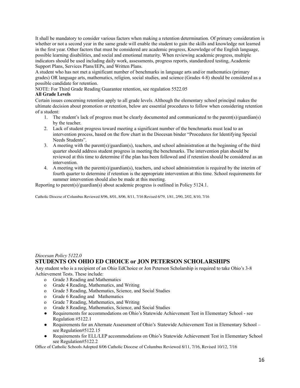It shall be mandatory to consider various factors when making a retention determination. Of primary consideration is whether or not a second year in the same grade will enable the student to gain the skills and knowledge not learned in the first year. Other factors that must be considered are academic progress, Knowledge of the English language, possible learning disabilities, and social and emotional maturity. When reviewing academic progress, multiple indicators should be used including daily work, assessments, progress reports, standardized testing, Academic Support Plans, Services Plans/IEPs, and Written Plans.

A student who has not met a significant number of benchmarks in language arts and/or mathematics (primary grades) OR language arts, mathematics, religion, social studies, and science (Grades 4-8) should be considered as a possible candidate for retention.

NOTE: For Third Grade Reading Guarantee retention, see regulation 5522.05

### **All Grade Levels**

Certain issues concerning retention apply to all grade levels. Although the elementary school principal makes the ultimate decision about promotion or retention, below are essential procedures to follow when considering retention of a student:

- 1. The student's lack of progress must be clearly documented and communicated to the parent(s)/guardian(s) by the teacher.
- 2. Lack of student progress toward meeting a significant number of the benchmarks must lead to an intervention process, based on the flow chart in the Diocesan binder "Procedures for Identifying Special Needs Students".
- 3. A meeting with the parent(s)/guardian(s), teachers, and school administration at the beginning of the third quarter should address student progress in meeting the benchmarks. The intervention plan should be reviewed at this time to determine if the plan has been followed and if retention should be considered as an intervention.
- 4. A meeting with the parent(s)/guardian(s), teachers, and school administration is required by the interim of fourth quarter to determine if retention is the appropriate intervention at this time. School requirements for summer intervention should also be made at this meeting.

Reporting to parent(s)/guardian(s) about academic progress is outlined in Policy 5124.1.

Catholic Diocese of Columbus Reviewed 8/96, 8/01, 8/06, 8/11, 7/16 Revised 6/79, 1/81, 2/90, 2/02, 8/10, 7/16

# *Diocesan Policy 5122.0* **STUDENTS ON OHIO ED CHOICE or JON PETERSON SCHOLARSHIPS**

Any student who is a recipient of an Ohio EdChoice or Jon Peterson Scholarship is required to take Ohio's 3-8 Achievement Tests. These include:

- o Grade 3 Reading and Mathematics
- o Grade 4 Reading, Mathematics, and Writing
- o Grade 5 Reading, Mathematics, Science, and Social Studies
- o Grade 6 Reading and Mathematics
- o Grade 7 Reading, Mathematics, and Writing
- o Grade 8 Reading, Mathematics, Science, and Social Studies
- Requirements for accommodations on Ohio's Statewide Achievement Test in Elementary School see Regulation #5122.1
- Requirements for an Alternate Assessment of Ohio's Statewide Achievement Test in Elementary School see Regulation#5122.15
- Requirements for ELL/LEP accommodations on Ohio's Statewide Achievement Test in Elementary School see Regulation#5122.2

Office of Catholic Schools Adopted 8/06 Catholic Diocese of Columbus Reviewed 8/11, 7/16, Revised 10/12, 7/16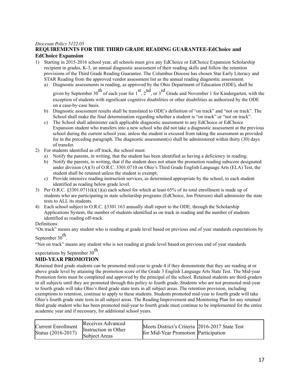#### *Diocesan Policy 5122.05*

### **REQUIREMENTS FOR THE THIRD GRADE READING GUARANTEE-EdChoice and EdChoice Expansion**

- 1) Starting in 2015-2016 school year, all schools must give any EdChoice or EdChoice Expansion Scholarship recipient in grades, K-3, an annual diagnostic assessment of their reading skills and follow the retention provisions of the Third Grade Reading Guarantee. The Columbus Diocese has chosen Star Early Literacy and STAR Reading from the approved vendor assessment list as the annual reading diagnostic assessment.
	- a) Diagnostic assessments in reading, as approved by the Ohio Department of Education (ODE), shall be

given by September 30<sup>th</sup> of each year for  $1<sup>st</sup>$ ,  $2<sup>nd</sup>$ , or  $3<sup>rd</sup>$  Grade and November 1 for Kindergarten, with the exception of students with significant cognitive disabilities or other disabilities as authorized by the ODE on a case-by-case basis.

- b) Diagnostic assessment results shall be translated to ODE's definition of "on track" and "not on track". The School shall make the final determination regarding whether a student is "on track" or "not on track".
- c) The School shall administer each applicable diagnostic assessment to any EdChoice or EdChoice Expansion student who transfers into a new school who did not take a diagnostic assessment at the previous school during the current school year, unless the student is excused from taking the assessment as provided for in the preceding paragraph. The diagnostic assessment(s) shall be administered within thirty (30) days of transfer.
- 2) For students identified as off track, the school must:
	- a) Notify the parents, in writing, that the student has been identified as having a deficiency in reading;
	- b) Notify the parents, in writing, that if the student does not attain the promotion reading subscore designated under division (A)(3) of O.R.C. 3301.0710 on Ohio's Third Grade English Language Arts (ELA) Test, the student shall be retained unless the student is exempt;
	- c) Provide intensive reading instruction services, as determined appropriate by the school, to each student identified as reading below grade level.
- 3) Per O.R.C.  $§3301.0711(k)(1)(a)$  each school for which at least 65% of its total enrollment is made up of students who are participating in state scholarship programs (EdChoice, Jon Peterson) shall administer the state tests to ALL its students.
- 4) Each school subject to O.R.C. §3301.163 annually shall report to the ODE, through the Scholarship Applications System, the number of students identified as on track in reading and the number of students identified as reading off-track.

Definitions:

"On track" means any student who is reading at grade level based on previous end of year standards expectations by

September 30<sup>th</sup>.

"Not on track" means any student who is not reading at grade level based on previous end of year standards

# expectations by September 30<sup>th</sup>.

# **MID-YEAR PROMOTION**

Retained third grade students can be promoted mid-year to grade 4 if they demonstrate that they are reading at or above grade level by attaining the promotion score of the Grade 3 English Language Arts State Test. The Mid-year Promotion form must be completed and approved by the principal of the school. Retained students are third-graders in all subjects until they are promoted through this policy to fourth grade. Students who are not promoted mid-year to fourth grade will take Ohio's third grade state tests in all subject areas. The retention provision, including exemptions to retention, continue to apply to these students. Students promoted mid-year to fourth grade will take Ohio's fourth grade state tests in all subject areas. The Reading Improvement and Monitoring Plan for any retained third grade student who has been promoted mid-year to fourth grade must continue to be implemented for the entire academic year and if necessary, for additional school years.

| <b>Current Enrollment</b><br>Status (2016-2017) | Receives Advanced<br>Instruction in Other<br><b>Subject Areas</b> | Meets District's Criteria 2016-2017 State Test<br>for Mid-Year Promotion Participation |  |
|-------------------------------------------------|-------------------------------------------------------------------|----------------------------------------------------------------------------------------|--|
|                                                 |                                                                   |                                                                                        |  |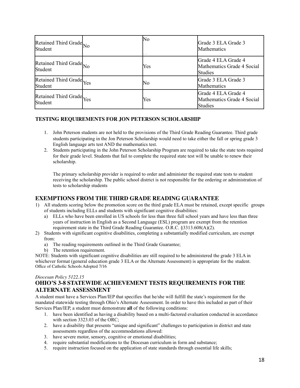| Retained Third Grade <sub>No</sub><br>Student | No  | Grade 3 ELA Grade 3<br><b>Mathematics</b>                    |
|-----------------------------------------------|-----|--------------------------------------------------------------|
| Retained Third Grade <sub>No</sub><br>Student | Yes | Grade 4 ELA Grade 4<br>Mathematics Grade 4 Social<br>Studies |
| Retained Third Grade Yes<br>Student           | No  | Grade 3 ELA Grade 3<br>Mathematics                           |
| Retained Third Grade Yes<br>Student           | Yes | Grade 4 ELA Grade 4<br>Mathematics Grade 4 Social<br>Studies |

### **TESTING REQUIREMENTS FOR JON PETERSON SCHOLARSHIP**

- 1. John Peterson students are not held to the provisions of the Third Grade Reading Guarantee. Third grade students participating in the Jon Peterson Scholarship would need to take either the fall or spring grade 3 English language arts test AND the mathematics test.
- 2. Students participating in the John Peterson Scholarship Program are required to take the state tests required for their grade level. Students that fail to complete the required state test will be unable to renew their scholarship.

The primary scholarship provider is required to order and administer the required state tests to student receiving the scholarship. The public school district is not responsible for the ordering or administration of tests to scholarship students

# **EXEMPTIONS FROM THE THIRD GRADE READING GUARANTEE**

- 1) All students scoring below the promotion score on the third grade ELA must be retained, except specific groups of students including ELLs and students with significant cognitive disabilities:
	- a) ELLs who have been enrolled in US schools for less than three full school years and have less than three years of instruction in English as a Second Language (ESL) program are exempt from the retention requirement state in the Third Grade Reading Guarantee. O.R.C. §3313.608(A)(2).
- 2) Students with significant cognitive disabilities, completing a substantially modified curriculum, are exempt from:
	- a) The reading requirements outlined in the Third Grade Guarantee;
	- b) The retention requirement.

NOTE: Students with significant cognitive disabilities are still required to be administered the grade 3 ELA in whichever format (general education grade 3 ELA or the Alternate Assessment) is appropriate for the student. Office of Catholic Schools Adopted 7/16

### *Diocesan Policy 5122.15*

# **OHIO'S 3-8 STATEWIDE ACHIEVEMENT TESTS REQUIREMENTS FOR THE ALTERNATE ASSESSMENT**

A student must have a Services Plan/IEP that specifies that he/she will fulfill the state's requirement for the mandated statewide testing through Ohio's Alternate Assessment. In order to have this included as part of their Services Plan/IEP, a student must demonstrate **all** of the following conditions:

- 1. have been identified as having a disability based on a multi-factored evaluation conducted in accordance with section 3323.03 of the ORC;
- 2. have a disability that presents "unique and significant" challenges to participation in district and state assessments regardless of the accommodations allowed:
- 3. have severe motor, sensory, cognitive or emotional disabilities;
- 4. require substantial modifications to the Diocesan curriculum in form and substance;
- 5. require instruction focused on the application of state standards through essential life skills;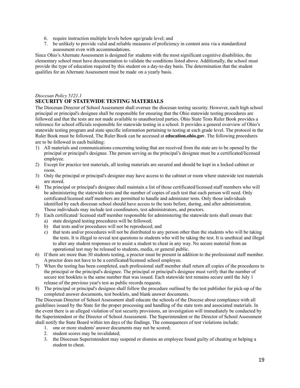- 6. require instruction multiple levels below age/grade level; and
- 7. be unlikely to provide valid and reliable measures of proficiency in content area via a standardized assessment even with accommodations.

Since Ohio's Alternate Assessment is designed for students with the most significant cognitive disabilities, the elementary school must have documentation to validate the conditions listed above. Additionally, the school must provide the type of education required by this student on a day-to-day basis. The determination that the student qualifies for an Alternate Assessment must be made on a yearly basis.

### *Diocesan Policy 5121.1* **SECURITY OF STATEWIDE TESTING MATERIALS**

The Diocesan Director of School Assessment shall oversee the diocesan testing security. However, each high school principal or principal's designee shall be responsible for ensuring that the Ohio statewide testing procedures are followed and that the tests are not made available to unauthorized parties. Ohio State Tests Ruler Book provides a reference for school officials responsible for statewide testing in a school. It provides a general overview of Ohio's statewide testing program and state specific information pertaining to testing at each grade level. The protocol in the Ruler Book must be followed. The Ruler Book can be accessed at **education.ohio.gov**. The following procedures are to be followed in each building:

- 1) All materials and communications concerning testing that are received from the state are to be opened by the principal or principal's designee. The person serving as the principal's designee must be a certificated/licensed employee.
- 2) Except for practice test materials, all testing materials are secured and should be kept in a locked cabinet or room.
- 3) Only the principal or principal's designee may have access to the cabinet or room where statewide test materials are stored.
- 4) The principal or principal's designee shall maintain a list of those certificated/licensed staff members who will be administering the statewide tests and the number of copies of each test that each person will need. Only certificated/licensed staff members are permitted to handle and administer tests. Only those individuals identified by each diocesan school should have access to the tests before, during, and after administration. Those individuals may include test coordinators, test administrators, and proctors.
- 5) Each certificated/ licensed staff member responsible for administering the statewide tests shall ensure that:
	- a) state designed testing procedures will be followed;
	- b) that tests and/or procedures will not be reproduced; and
	- c) that tests and/or procedures will not be distributed to any person other than the students who will be taking the tests. It is illegal to reveal test questions to students who will be taking the test. It is unethical and illegal to alter any student responses or to assist a student to cheat in any way. No secure material from an operational test may be released to students, media, or general public.
- 6) If there are more than 30 students testing, a proctor must be present in addition to the professional staff member. A proctor does not have to be a certificated/licensed school employee.
- 7) When the testing has been completed, each professional staff member shall return all copies of the procedures to the principal or the principal's designee. The principal or principal's designee must verify that the number of secure test booklets is the same number that was issued. Each statewide test remains secure until the July 1 release of the previous year's test as public records requests.
- 8) The principal or principal's designee shall follow the procedure outlined by the test publisher for pick-up of the completed answer documents, test booklets, and blank answer documents.

The Diocesan Director of School Assessment shall educate the schools of the Diocese about compliance with all guidelines issued by the State for the proper processing and handling of the state tests and associated materials. In the event there is an alleged violation of test security provisions, an investigation will immediately be conducted by the Superintendent or the Director of School Assessment. The Superintendent or the Director of School Assessment shall notify the State Board within ten days of the findings. The consequences of test violations include:

- 1. one or more students' answer documents may not be scored;
- 2. student scores may be invalidated;
- 3. the Diocesan Superintendent may suspend or dismiss an employee found guilty of cheating or helping a student to cheat.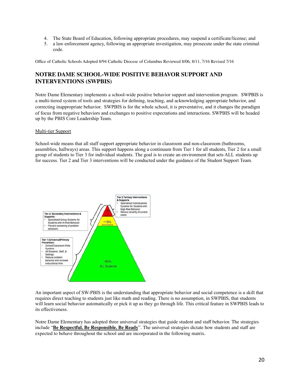- 4. The State Board of Education, following appropriate procedures, may suspend a certificate/license; and
- 5. a law enforcement agency, following an appropriate investigation, may prosecute under the state criminal code.

Office of Catholic Schools Adopted 8/94 Catholic Diocese of Columbus Reviewed 8/06, 8/11, 7/16 Revised 7/16

# **NOTRE DAME SCHOOL-WIDE POSITIVE BEHAVOR SUPPORT AND INTERVENTIONS (SWPBIS)**

Notre Dame Elementary implements a school-wide positive behavior support and intervention program. SWPBIS is a multi-tiered system of tools and strategies for defining, teaching, and acknowledging appropriate behavior, and correcting inappropriate behavior. SWPBIS is for the whole school, it is preventative, and it changes the paradigm of focus from negative behaviors and exchanges to positive expectations and interactions. SWPBIS will be headed up by the PBIS Core Leadership Team.

#### Multi-tier Support

School-wide means that all staff support appropriate behavior in classroom and non-classroom (bathrooms, assemblies, hallways) areas. This support happens along a continuum from Tier 1 for all students, Tier 2 for a small group of students to Tier 3 for individual students. The goal is to create an environment that sets ALL students up for success. Tier 2 and Tier 3 interventions will be conducted under the guidance of the Student Support Team.



An important aspect of SW-PBIS is the understanding that appropriate behavior and social competence is a skill that requires direct teaching to students just like math and reading. There is no assumption, in SWPBIS, that students will learn social behavior automatically or pick it up as they go through life. This critical feature in SWPBIS leads to its effectiveness.

Notre Dame Elementary has adopted three universal strategies that guide student and staff behavior. The strategies include "**Be Respectful. Be Responsible. Be Ready**". The universal strategies dictate how students and staff are expected to behave throughout the school and are incorporated in the following matrix.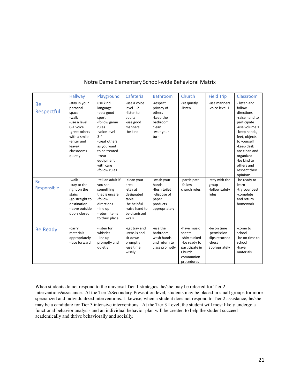| Notre Dame Elementary School-wide Behavioral Matrix |
|-----------------------------------------------------|
|-----------------------------------------------------|

|                          | Hallway                                                                                                                                                    | Playground                                                                                                                                                                                            | Cafeteria                                                                                                        | <b>Bathroom</b>                                                                           | Church                                                                                                        | <b>Field Trip</b>                                                       | Classroom                                                                                                                                                                                                                                    |
|--------------------------|------------------------------------------------------------------------------------------------------------------------------------------------------------|-------------------------------------------------------------------------------------------------------------------------------------------------------------------------------------------------------|------------------------------------------------------------------------------------------------------------------|-------------------------------------------------------------------------------------------|---------------------------------------------------------------------------------------------------------------|-------------------------------------------------------------------------|----------------------------------------------------------------------------------------------------------------------------------------------------------------------------------------------------------------------------------------------|
| <b>Be</b><br>Respectful  | -stay in your<br>personal<br>space<br>-walk<br>-use a level<br>0-1 voice<br>-greet others<br>with a smile<br>-enter and<br>leave/<br>classrooms<br>quietly | use kind<br>language<br>-be a good<br>sport<br>-follow game<br>rules<br>-voice level<br>$3 - 4$<br>-treat others<br>as you want<br>to be treated<br>-treat<br>equipment<br>with care<br>-follow rules | -use a voice<br>level 1-2<br>-listen to<br>adults<br>-use good<br>manners<br>-be kind                            | -respect<br>privacy of<br>others<br>-keep the<br>bathroom<br>clean<br>-wait your<br>turn  | -sit quietly<br>-listen                                                                                       | -use manners<br>-voice level 1                                          | - listen and<br>follow<br>directions<br>-raise hand to<br>participate<br>-use volume 1<br>-keep hands,<br>feet, objects<br>to yourself<br>-keep desk<br>are clean and<br>organized<br>-be kind to<br>others and<br>respect their<br>opinions |
| <b>Be</b><br>Responsible | -walk<br>-stay to the<br>right on the<br>stairs<br>-go straight to<br>destination<br>-leave outside<br>doors closed                                        | -tell an adult if<br>you see<br>something<br>that is unsafe<br>-follow<br>directions<br>-line up<br>-return items<br>to their place                                                                   | -clean your<br>area<br>-stay at<br>designated<br>table<br>-be helpful<br>-raise hand to<br>be dismissed<br>-walk | -wash your<br>hands<br>-flush toilet<br>-dispose of<br>paper<br>products<br>appropriately | -participate<br>-follow<br>church rules                                                                       | -stay with the<br>group<br>-follow safety<br>rules                      | -be ready to<br>learn<br>-try your best<br>-complete<br>and return<br>homework                                                                                                                                                               |
| <b>Be Ready</b>          | -carry<br>materials<br>appropriately<br>-face forward                                                                                                      | -listen for<br>whistles<br>-line up<br>promptly and<br>quietly                                                                                                                                        | -get tray and<br>utensils and<br>sit down<br>promptly<br>-use time<br>wisely                                     | -use the<br>bathroom,<br>wash hands<br>and return to<br>class promptly                    | -have music<br>sheets<br>-shirt tucked<br>-be ready to<br>participate in<br>Church<br>communion<br>procedures | -be on time<br>-permission<br>slips returned<br>-dress<br>appropriately | -come to<br>school<br>-be on time to<br>school<br>-have<br>materials                                                                                                                                                                         |

When students do not respond to the universal Tier 1 strategies, he/she may be referred for Tier 2 interventions/assistance. At the Tier 2/Secondary Prevention level, students may be placed in small groups for more specialized and individualized interventions. Likewise, when a student does not respond to Tier 2 assistance, he/she may be a candidate for Tier 3 intensive interventions. At the Tier 3 Level, the student will most likely undergo a functional behavior analysis and an individual behavior plan will be created to help the student succeed academically and thrive behaviorally and socially.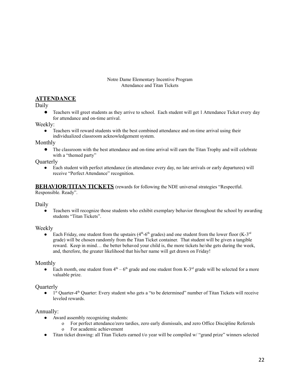### Notre Dame Elementary Incentive Program Attendance and Titan Tickets

# **ATTENDANCE**

Daily

● Teachers will greet students as they arrive to school. Each student will get 1 Attendance Ticket every day for attendance and on-time arrival.

Weekly:

• Teachers will reward students with the best combined attendance and on-time arrival using their individualized classroom acknowledgement system.

### Monthly

● The classroom with the best attendance and on-time arrival will earn the Titan Trophy and will celebrate with a "themed party"

**Quarterly** 

• Each student with perfect attendance (in attendance every day, no late arrivals or early departures) will receive "Perfect Attendance" recognition.

**BEHAVIOR/TITAN TICKETS** (rewards for following the NDE universal strategies "Respectful. Responsible. Ready".

Daily

Teachers will recognize those students who exhibit exemplary behavior throughout the school by awarding students "Titan Tickets".

### Weekly

• Each Friday, one student from the upstairs  $(4<sup>th</sup>-6<sup>th</sup>$  grades) and one student from the lower floor  $(K-3<sup>rd</sup>$ grade) will be chosen randomly from the Titan Ticket container. That student will be given a tangible reward. Keep in mind… the better behaved your child is, the more tickets he/she gets during the week, and, therefore, the greater likelihood that his/her name will get drawn on Friday!

### Monthly

• Each month, one student from  $4<sup>th</sup> - 6<sup>th</sup>$  grade and one student from K-3<sup>rd</sup> grade will be selected for a more valuable prize.

### **Ouarterly**

• 1<sup>st</sup> Quarter-4<sup>th</sup> Quarter: Every student who gets a "to be determined" number of Titan Tickets will receive leveled rewards.

### Annually:

- Award assembly recognizing students:
	- o For perfect attendance/zero tardies, zero early dismissals, and zero Office Discipline Referrals
	- o For academic achievement
- Titan ticket drawing: all Titan Tickets earned t/o year will be compiled w/ "grand prize" winners selected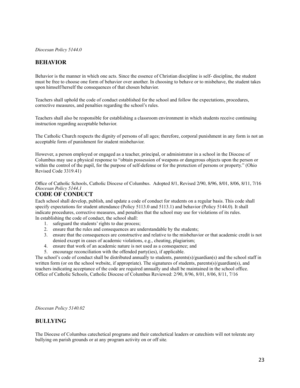*Diocesan Policy 5144.0*

# **BEHAVIOR**

Behavior is the manner in which one acts. Since the essence of Christian discipline is self- discipline, the student must be free to choose one form of behavior over another. In choosing to behave or to misbehave, the student takes upon himself/herself the consequences of that chosen behavior.

Teachers shall uphold the code of conduct established for the school and follow the expectations, procedures, corrective measures, and penalties regarding the school's rules.

Teachers shall also be responsible for establishing a classroom environment in which students receive continuing instruction regarding acceptable behavior.

The Catholic Church respects the dignity of persons of all ages; therefore, corporal punishment in any form is not an acceptable form of punishment for student misbehavior.

However, a person employed or engaged as a teacher, principal, or administrator in a school in the Diocese of Columbus may use a physical response to "obtain possession of weapons or dangerous objects upon the person or within the control of the pupil, for the purpose of self-defense or for the protection of persons or property." (Ohio Revised Code 3319.41)

Office of Catholic Schools, Catholic Diocese of Columbus. Adopted 8/1, Revised 2/90, 8/96, 8/01, 8/06, 8/11, 7/16 *Diocesan Policy 5144.1*

# **CODE OF CONDUCT**

Each school shall develop, publish, and update a code of conduct for students on a regular basis. This code shall specify expectations for student attendance (Policy 5113.0 and 5113.1) and behavior (Policy 5144.0). It shall indicate procedures, corrective measures, and penalties that the school may use for violations of its rules. In establishing the code of conduct, the school shall:

- 1. safeguard the students' rights to due process;
- 2. ensure that the rules and consequences are understandable by the students;
- 3. ensure that the consequences are constructive and relative to the misbehavior or that academic credit is not denied except in cases of academic violations, e.g., cheating, plagiarism;
- 4. ensure that work of an academic nature is not used as a consequence; and
- 5. encourage reconciliation with the offended party(ies), if applicable.

The school's code of conduct shall be distributed annually to students, parents(s)/guardian(s) and the school staff in written form (or on the school website, if appropriate). The signatures of students, parents(s)/guardian(s), and teachers indicating acceptance of the code are required annually and shall be maintained in the school office. Office of Catholic Schools, Catholic Diocese of Columbus Reviewed: 2/90, 8/96, 8/01, 8/06, 8/11, 7/16

*Diocesan Policy 5140.02*

### **BULLYING**

The Diocese of Columbus catechetical programs and their catechetical leaders or catechists will not tolerate any bullying on parish grounds or at any program activity on or off site*.*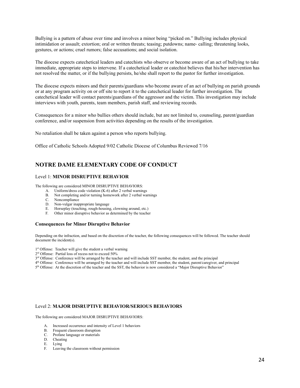Bullying is a pattern of abuse over time and involves a minor being "picked on." Bullying includes physical intimidation or assault; extortion; oral or written threats; teasing; putdowns; name‐ calling; threatening looks, gestures, or actions; cruel rumors; false accusations; and social isolation.

The diocese expects catechetical leaders and catechists who observe or become aware of an act of bullying to take immediate, appropriate steps to intervene. If a catechetical leader or catechist believes that his/her intervention has not resolved the matter, or if the bullying persists, he/she shall report to the pastor for further investigation.

The diocese expects minors and their parents/guardians who become aware of an act of bullying on parish grounds or at any program activity on or off site to report it to the catechetical leader for further investigation. The catechetical leader will contact parents/guardians of the aggressor and the victim. This investigation may include interviews with youth, parents, team members, parish staff, and reviewing records.

Consequences for a minor who bullies others should include, but are not limited to, counseling, parent/guardian conference, and/or suspension from activities depending on the results of the investigation.

No retaliation shall be taken against a person who reports bullying.

Office of Catholic Schools Adopted 9/02 Catholic Diocese of Columbus Reviewed 7/16

# **NOTRE DAME ELEMENTARY CODE OF CONDUCT**

#### Level 1: **MINOR DISRUPTIVE BEHAVIOR**

The following are considered MINOR DISRUPTIVE BEHAVIORS:

- A. Uniform/dress code violation (K-6) after 2 verbal warnings
- B. Not completing and/or turning homework after 2 verbal warnings
- C. Noncompliance
- D. Non-vulgar inappropriate language
- E. Horseplay (touching, rough-housing, clowning around, etc.)
- F. Other minor disruptive behavior as determined by the teacher

#### **Consequences for Minor Disruptive Behavior**

Depending on the infraction, and based on the discretion of the teacher, the following consequences will be followed. The teacher should document the incident(s).

- 1 st Offense: Teacher will give the student a verbal warning
- 2 rd Offense: Partial loss of recess not to exceed 50%
- 3<sup>rd</sup> Offense: Conference will be arranged by the teacher and will include SST member, the student, and the principal
- 4<sup>th</sup> Offense: Conference will be arranged by the teacher and will include SST member, the student, parent/caregiver, and principal
- 5<sup>th</sup> Offense: At the discretion of the teacher and the SST, the behavior is now considered a "Major Disruptive Behavior"

#### Level 2: **MAJOR DISRUPTIVE BEHAVIOR/SERIOUS BEHAVIORS**

The following are considered MAJOR DISRUPTIVE BEHAVIORS:

- A. Increased occurrence and intensity of Level 1 behaviors
- B. Frequent classroom disruption
- C. Profane language or materials
- D. Cheating
- E. Lying
- F. Leaving the classroom without permission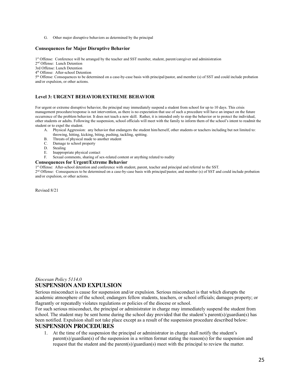G. Other major disruptive behaviors as determined by the principal

#### **Consequences for Major Disruptive Behavior**

1<sup>st</sup> Offense: Conference will be arranged by the teacher and SST member, student, parent/caregiver and administration

2 nd Offense: Lunch Detention

3rd Offense: Lunch Detention

4 th Offense: After-school Detention

5<sup>th</sup> Offense: Consequences to be determined on a case-by-case basis with principal/pastor, and member (s) of SST and could include probation and/or expulsion, or other actions.

#### **Level 3: URGENT BEHAVIOR/EXTREME BEHAVIOR**

For urgent or extreme disruptive behavior, the principal may immediately suspend a student from school for up to 10 days. This crisis management procedure/response is not intervention, as there is no expectation that use of such a procedure will have an impact on the future occurrence of the problem behavior. It does not teach a new skill. Rather, it is intended only to stop the behavior or to protect the individual, other students or adults. Following the suspension, school officials will meet with the family to inform them of the school's intent to readmit the student or to expel the student.

- A. Physical Aggression: any behavior that endangers the student him/herself, other students or teachers including but not limited to: throwing, hitting, kicking, biting, pushing, tackling, spitting.
- B. Threats of physical made to another student
- C. Damage to school property<br>D. Stealing
- Stealing
- E. Inappropriate physical contact
- F. Sexual comments, sharing of sex-related content or anything related to nudity

#### **Consequences for Urgent/Extreme Behavior**

1<sup>st</sup> Offense: After-school detention and conference with student, parent, teacher and principal and referral to the SST.

2<sup>nd</sup> Offense: Consequences to be determined on a case-by-case basis with principal/pastor, and member (s) of SST and could include probation and/or expulsion, or other actions.

Revised 8/21

#### *Diocesan Policy 5114.0* **SUSPENSION AND EXPULSION**

Serious misconduct is cause for suspension and/or expulsion. Serious misconduct is that which disrupts the academic atmosphere of the school; endangers fellow students, teachers, or school officials; damages property; or flagrantly or repeatedly violates regulations or policies of the diocese or school.

For such serious misconduct, the principal or administrator in charge may immediately suspend the student from school. The student may be sent home during the school day provided that the student's parent(s)/guardian(s) has been notified. Expulsion shall not take place except as a result of the suspension procedure described below:

### **SUSPENSION PROCEDURES**

1. At the time of the suspension the principal or administrator in charge shall notify the student's parent(s)/guardian(s) of the suspension in a written format stating the reason(s) for the suspension and request that the student and the parent(s)/guardian(s) meet with the principal to review the matter.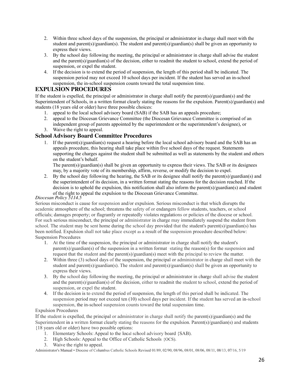- 2. Within three school days of the suspension, the principal or administrator in charge shall meet with the student and parent(s)/guardian(s). The student and parent(s)/guardian(s) shall be given an opportunity to express their views.
- 3. By the school day following the meeting, the principal or administrator in charge shall advise the student and the parent(s)/guardian(s) of the decision, either to readmit the student to school, extend the period of suspension, or expel the student.
- 4. If the decision is to extend the period of suspension, the length of this period shall be indicated. The suspension period may not exceed 10 school days per incident. If the student has served an in-school suspension, the in-school suspension counts toward the total suspension time.

# **EXPULSION PROCEDURES**

If the student is expelled, the principal or administrator in charge shall notify the parent(s)/guardian(s) and the Superintendent of Schools, in a written format clearly stating the reasons for the expulsion. Parent(s)/guardian(s) and students (18 years old or older) have three possible choices:

- 1. appeal to the local school advisory board (SAB) if the SAB has an appeals procedure;
- 2. appeal to the Diocesan Grievance Committee (the Diocesan Grievance Committee is comprised of an independent group of parents appointed by the superintendent or the superintendent's designee), or 3. Waive the right to appeal.

# **School Advisory Board Committee Procedures**

1. If the parent(s)/guardian(s) request a hearing before the local school advisory board and the SAB has an appeals procedure, this hearing shall take place within five school days of the request. Statements supporting the charges against the student shall be submitted as well as statements by the student and others on the student's behalf.

The parent(s)/guardian(s) shall be given an opportunity to express their views. The SAB or its designees may, by a majority vote of its membership, affirm, reverse, or modify the decision to expel.

2. By the school day following the hearing, the SAB or its designee shall notify the parent(s)/guardian(s) and the superintendent of its decision, in a written format stating the reasons for the decision reached. If the decision is to uphold the expulsion, this notification shall also inform the parent(s)/guardian(s) and student of the right to appeal the expulsion to the Diocesan Grievance Committee.

### *Diocesan Policy 5114.5*

Serious misconduct is cause for suspension and/or expulsion. Serious misconduct is that which disrupts the academic atmosphere of the school; threatens the safety of or endangers fellow students, teachers, or school officials; damages property; or flagrantly or repeatedly violates regulations or policies of the diocese or school. For such serious misconduct, the principal or administrator in charge may immediately suspend the student from school. The student may be sent home during the school day provided that the student's parent(s)/guardian(s) has been notified. Expulsion shall not take place except as a result of the suspension procedure described below: Suspension Procedures

- 1. At the time of the suspension, the principal or administrator in charge shall notify the student's parent(s)/guardian(s) of the suspension in a written format ·stating the reason(s) for the suspension and request that the student and the parent(s)/guardian(s) meet with the principal to review the matter.
- 2. Within three (3) school days of the suspension, the principal or administrator in charge shall meet with the student and parent(s)/guardian(s). The student and parent(s)/guardian(s) shall be given an opportunity to express their views.
- 3. By the school day following the meeting, the principal or administrator in charge shall advise the student and the parent(s)/guardian(s) of the decision, either to readmit the student to school, extend the period of suspension, or expel the student.
- 4. If the decision is to extend the period of suspension, the length of this period shall be indicated. The suspension period may not exceed ten (10) school days per incident. If the student has served an in-school suspension, the in-school suspension counts toward the total suspension time.

# Expulsion Procedures

If the student is expelled, the principal or administrator in charge shall notify the parent(s)/guardian(s) and the Superintendent in a written format clearly stating the reasons for the expulsion. Parent(s)/guardian(s) and students {18 years old or older) have two possible options:

- 1. Elementary Schools: Appeal to the local school advisory board {SAB).
- 2. High Schools: Appeal to the Office of Catholic Schools {OCS).
- 3. Waive the right to appeal.

Administrator's Manual • Diocese of Columbus Catholic Schools Revised 01/89, 02/90, 08/96, 08/01, 08/06, 08/11, 08/13, 07/16, 5/19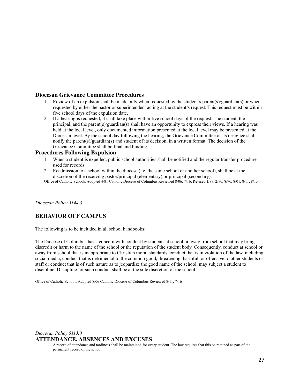### **Diocesan Grievance Committee Procedures**

- 1. Review of an expulsion shall be made only when requested by the student's parent(s)/guardian(s) or when requested by either the pastor or superintendent acting at the student's request. This request must be within five school days of the expulsion date.
- 2. If a hearing is requested, it shall take place within five school days of the request. The student, the principal, and the parent(s)/guardian(s) shall have an opportunity to express their views. If a hearing was held at the local level, only documented information presented at the local level may be presented at the Diocesan level. By the school day following the hearing, the Grievance Committee or its designee shall notify the parent(s)/guardian(s) and student of its decision, in a written format. The decision of the Grievance Committee shall be final and binding.

#### **Procedures Following Expulsion**

- 1. When a student is expelled, public school authorities shall be notified and the regular transfer procedure used for records.
- 2. Readmission to a school within the diocese (i.e. the same school or another school), shall be at the discretion of the receiving pastor/principal (elementary) or principal (secondary).

Office of Catholic Schools Adopted 4/81 Catholic Diocese of Columbus Reviewed 8/06, 7/16, Revised 1/89, 2/90, 8/96, 8/01, 8/11, 8/13

*Diocesan Policy 5144.3*

# **BEHAVIOR OFF CAMPUS**

The following is to be included in all school handbooks:

The Diocese of Columbus has a concern with conduct by students at school or away from school that may bring discredit or harm to the name of the school or the reputation of the student body. Consequently, conduct at school or away from school that is inappropriate to Christian moral standards, conduct that is in violation of the law, including social media, conduct that is detrimental to the common good, threatening, harmful, or offensive to other students or staff or conduct that is of such nature as to jeopardize the good name of the school, may subject a student to discipline. Discipline for such conduct shall be at the sole discretion of the school.

Office of Catholic Schools Adopted 8/06 Catholic Diocese of Columbus Reviewed 8/11, 7/16

### *Diocesan Policy 5113.0* **ATTENDANCE, ABSENCES AND EXCUSES**

1. A record of attendance and tardiness shall be maintained for every student. The law requires that this be retained as part of the permanent record of the school.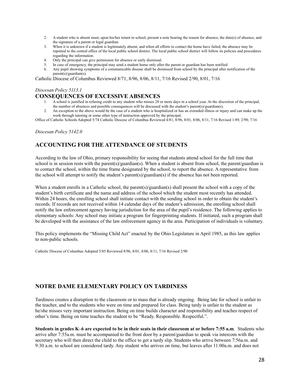- 2. A student who is absent must, upon his/her return to school, present a note bearing the reason for absence, the date(s) of absence, and the signature of a parent or legal guardian.
- 3. When it is unknown if a student is legitimately absent, and when all efforts to contact the home have failed, the absence may be reported to the central office of the local public school district. The local public school district will follow its policies and procedures regarding the information.
- 4. Only the principal can give permission for absence or early dismissal.
- 5. In case of emergency, the principal may send a student home only after the parent or guardian has been notified.
- 6. Any pupil showing symptoms of a communicable disease shall be dismissed from school by the principal after notification of the parent(s)/guardian(s).

Catholic Diocese of Columbus Reviewed 8/71, 8/96, 8/06, 8/11, 7/16 Revised 2/90, 8/01, 7/16

### *Diocesan Policy 5113.1*

### **CONSEQUENCES OF EXCESSIVE ABSENCES**

- 1. A school is justified in refusing credit to any student who misses 28 or more days in a school year. At the discretion of the principal,
- the number of absences and possible consequences will be discussed with the student's parent(s)/guardian(s).
- 2. An exception to the above would be the case of a student who is hospitalized or has an extended illness or injury and can make up the work through tutoring or some other type of instruction approved by the principal.

Office of Catholic Schools Adopted 5/74 Catholic Diocese of Columbus Reviewed 4/81, 8/96, 8/01, 8/06, 8/11, 7/16 Revised 1/89, 2/90, 7/16

*Diocesan Policy 5142.0*

# **ACCOUNTING FOR THE ATTENDANCE OF STUDENTS**

According to the law of Ohio, primary responsibility for seeing that students attend school for the full time that school is in session rests with the parent(s)/guardian(s). When a student is absent from school, the parent/guardian is to contact the school, within the time frame designated by the school, to report the absence. A representative from the school will attempt to notify the student's parent(s)/guardian(s) if the absence has not been reported.

When a student enrolls in a Catholic school, the parent(s)/guardian(s) shall present the school with a copy of the student's birth certificate and the name and address of the school which the student most recently has attended. Within 24 hours, the enrolling school shall initiate contact with the sending school in order to obtain the student's records. If records are not received within 14 calendar days of the student's admission, the enrolling school shall notify the law enforcement agency having jurisdiction for the area of the pupil's residence. The following applies to elementary schools: Any school may initiate a program for fingerprinting students. If initiated, such a program shall be developed with the assistance of the law enforcement agency in the area. Participation of individuals is voluntary.

This policy implements the "Missing Child Act" enacted by the Ohio Legislature in April 1985, as this law applies to non-public schools.

Catholic Diocese of Columbus Adopted 5/85 Reviewed 8/96, 8/01, 8/06, 8/11, 7/16 Revised 2/90

# **NOTRE DAME ELEMENTARY POLICY ON TARDINESS**

Tardiness creates a disruption to the classroom or to mass that is already ongoing. Being late for school is unfair to the teacher, and to the students who were on time and prepared for class. Being tardy is unfair to the student as he/she misses very important instruction. Being on time builds character and responsibility and teaches respect of other's time. Being on time teaches the student to be "Ready. Responsible. Respectful.".

Students in grades K–6 are expected to be in their seats in their classroom at or before 7:55 a.m. Students who arrive after 7:55a.m. must be accompanied to the front door by a parent/guardian to speak via intercom with the secretary who will then direct the child to the office to get a tardy slip. Students who arrive between 7:56a.m. and 9:30 a.m. to school are considered tardy. Any student who arrives on time, but leaves after 11:00a.m. and does not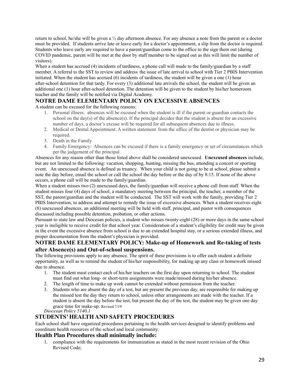return to school, he/she will be given a ½ day afternoon absence. For any absence a note from the parent or a doctor must be provided. If students arrive late or leave early for a doctor's appointment, a slip from the doctor is required. Students who leave early are required to have a parent/guardian come to the office to the sign them out (during COVID pandemic, parent will be met at the door by staff member to be signed out as this will limit the number of visitors).

When a student has accrued (4) incidents of tardiness, a phone call will made to the family/guardian by a staff member. A referral to the SST to review and address the issue of late arrival to school with Tier 2 PBIS Intervention initiated. When the student has accrued (6) incidents of tardiness, the student will be given a one (1) hour after-school detention for that tardy. For every (3) additional late arrivals the school, the student will be given an additional one (1) hour after-school detention. The detention will be given to the student by his/her homeroom teacher and the family will be notified via Digital Academy.

# **NOTRE DAME ELEMENTARY POLICY ON EXCESSIVE ABSENCES**

A student can be excused for the following reasons:

- 1. Personal illness: absences will be excused when the student is ill if the parent or guardian contacts the school on the day(s) of the absence(s). If the principal decides that the student is absent for an excessive number of days, a doctor's excuse will be required for all subsequent absences due to illness.
- 2. Medical or Dental Appointment: A written statement from the office of the dentist or physician may be required.
- 3. Death in the Family
- 4. Family Emergency: Absences can be excused if there is a family emergency or set of circumstances which per the judgement of the principal.

Absences for any reason other than those listed above shall be considered unexcused. **Unexcused absences** include, but are not limited to the following: vacation, shopping, hunting, missing the bus, attending a concert or sporting event. An unexcused absence is defined as truancy. When your child is not going to be at school, please submit a note the day before, email the school or call the school the day before or the day of by 8:15. If none of the above occurs, a phone call will be made to the family/guardian.

When a student misses two (2) unexcused days, the family/guardian will receive a phone call from staff. When the student misses four (4) days of school, a mandatory meeting between the principal, the teacher, a member of the SST, the parent/guardian and the student will be conducted. The SST will work with the family, providing Tier 2 PBIS Intervention, to address and attempt to remedy the issue of excessive absences. When a student receives eight (8) unexcused absences, an additional meeting will be held with staff, principal, and pastor with consequences discussed including possible detention, probation, or other actions.

Pursuant to state law and Diocesan policies, a student who misses twenty-eight (28) or more days in the same school year is ineligible to receive credit for that school year. Consideration of a student's eligibility for credit may be given in the event the excessive absence from school is due to an extended hospital stay, or a serious extended illness, and proper documentation from the student's physician is provided.

### **NOTRE DAME ELEMENTARY POLICY: Make-up of Homework and Re-taking of tests after Absence(s) and Out-of-school suspensions.**

The following provisions apply to any absence. The spirit of these provisions is to offer each student a definite opportunity, as well as to remind the student of his/her responsibility, for making up any class or homework missed due to absence.

- 1. The student must contact each of his/her teachers on the first day upon returning to school. The student must find out what long- or short-term assignments were made/missed during his/her absence.
- 2. The length of time to make up work cannot be extended without permission from the teacher.
- 3. Students who are absent the day of a test, but are present the previous day, are responsible for making up the missed test the day they return to school, unless other arrangements are made with the teacher. If a student is absent the day before the test, but present the day of the test, the student may be given one day grace time for make-up. Revised 7/19

*Diocesan Policy 5140.1*

# **STUDENTS' HEALTH AND SAFETY PROCEDURES**

Each school shall have organized procedures pertaining to the health services designed to identify problems and coordinate health resources of the school and local community.

# **Health Plan Procedures shall minimally include:**

1. compliance with the requirements for immunization as stated in the most recent revision of the Ohio Revised Code;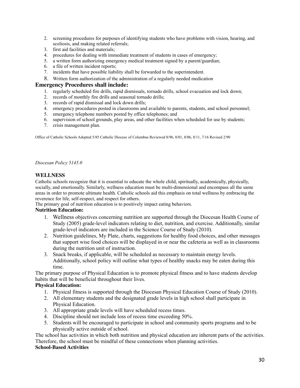- 2. screening procedures for purposes of identifying students who have problems with vision, hearing, and scoliosis, and making related referrals;
- 3. first aid facilities and materials;
- 4. procedures for dealing with immediate treatment of students in cases of emergency;
- 5. a written form authorizing emergency medical treatment signed by a parent/guardian;
- 6. a file of written incident reports;
- 7. incidents that have possible liability shall be forwarded to the superintendent.
- 8. Written form authorization of the administration of a regularly needed medication

### **Emergency Procedures shall include:**

- 1. regularly scheduled fire drills, rapid dismissals, tornado drills, school evacuation and lock down;
- 2. records of monthly fire drills and seasonal tornado drills;
- 3. records of rapid dismissal and lock down drills;
- 4. emergency procedures posted in classrooms and available to parents, students, and school personnel;
- 5. emergency telephone numbers posted by office telephones; and
- 6. supervision of school grounds, play areas, and other facilities when scheduled for use by students;
- 7. crisis management plan.

Office of Catholic Schools Adopted 5/85 Catholic Diocese of Columbus Reviewed 8/96, 8/01, 8/06, 8/11, 7/16 Revised 2/90

*Diocesan Policy 5145.0*

### **WELLNESS**

Catholic schools recognize that it is essential to educate the whole child, spiritually, academically, physically, socially, and emotionally. Similarly, wellness education must be multi-dimensional and encompass all the same areas in order to promote ultimate health. Catholic schools aid this emphasis on total wellness by embracing the reverence for life, self-respect, and respect for others.

The primary goal of nutrition education is to positively impact eating behaviors.

### **Nutrition Education:**

- 1. Wellness objectives concerning nutrition are supported through the Diocesan Health Course of Study (2005) grade-level indicators relating to diet, nutrition, and exercise. Additionally, similar grade-level indicators are included in the Science Course of Study (2010).
- 2. Nutrition guidelines, My Plate, charts, suggestions for healthy food choices, and other messages that support wise food choices will be displayed in or near the cafeteria as well as in classrooms during the nutrition unit of instruction.
- 3. Snack breaks, if applicable, will be scheduled as necessary to maintain energy levels. Additionally, school policy will outline what types of healthy snacks may be eaten during this time.

The primary purpose of Physical Education is to promote physical fitness and to have students develop habits that will be beneficial throughout their lives.

### **Physical Education:**

- 1. Physical fitness is supported through the Diocesan Physical Education Course of Study (2010).
- 2. All elementary students and the designated grade levels in high school shall participate in Physical Education.
- 3. All appropriate grade levels will have scheduled recess times.
- 4. Discipline should not include loss of recess time exceeding 50%.
- 5. Students will be encouraged to participate in school and community sports programs and to be physically active outside of school.

The school has activities in which both nutrition and physical education are inherent parts of the activities. Therefore, the school must be mindful of these connections when planning activities. **School-Based Activities**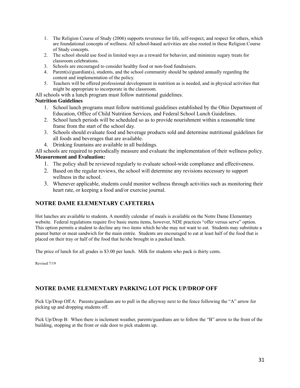- 1. The Religion Course of Study (2006) supports reverence for life, self-respect, and respect for others, which are foundational concepts of wellness. All school-based activities are also rooted in these Religion Course of Study concepts.
- 2. The school should use food in limited ways as a reward for behavior, and minimize sugary treats for classroom celebrations.
- 3. Schools are encouraged to consider healthy food or non-food fundraisers.
- 4. Parent(s)/guardian(s), students, and the school community should be updated annually regarding the content and implementation of the policy.
- 5. Teachers will be offered professional development in nutrition as is needed, and in physical activities that might be appropriate to incorporate in the classroom.

All schools with a lunch program must follow nutritional guidelines.

# **Nutrition Guidelines**

- 1. School lunch programs must follow nutritional guidelines established by the Ohio Department of Education, Office of Child Nutrition Services, and Federal School Lunch Guidelines.
- 2. School lunch periods will be scheduled so as to provide nourishment within a reasonable time frame from the start of the school day.
- 3. Schools should evaluate food and beverage products sold and determine nutritional guidelines for all foods and beverages that are available.
- 4. Drinking fountains are available in all buildings.

All schools are required to periodically measure and evaluate the implementation of their wellness policy. **Measurement and Evaluation:**

- 1. The policy shall be reviewed regularly to evaluate school-wide compliance and effectiveness.
- 2. Based on the regular reviews, the school will determine any revisions necessary to support wellness in the school.
- 3. Whenever applicable, students could monitor wellness through activities such as monitoring their heart rate, or keeping a food and/or exercise journal.

# **NOTRE DAME ELEMENTARY CAFETERIA**

Hot lunches are available to students. A monthly calendar of meals is available on the Notre Dame Elementary website. Federal regulations require five basic menu items, however, NDE practices "offer versus serve" option. This option permits a student to decline any two items which he/she may not want to eat. Students may substitute a peanut butter or meat sandwich for the main entrée. Students are encouraged to eat at least half of the food that is placed on their tray or half of the food that he/she brought in a packed lunch.

The price of lunch for all grades is \$3.00 per lunch. Milk for students who pack is thirty cents.

Revised 7/19

# **NOTRE DAME ELEMENTARY PARKING LOT PICK UP/DROP OFF**

Pick Up/Drop Off A: Parents/guardians are to pull in the alleyway next to the fence following the "A" arrow for picking up and dropping students off.

Pick Up/Drop B: When there is inclement weather, parents/guardians are to follow the "B" arrow to the front of the building, stopping at the front or side door to pick students up.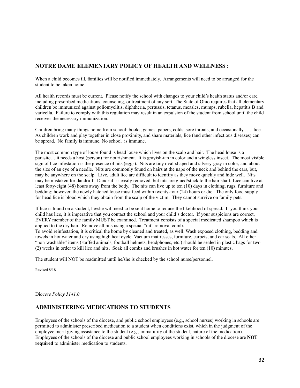# **NOTRE DAME ELEMENTARY POLICY OF HEALTH AND WELLNESS** :

When a child becomes ill, families will be notified immediately. Arrangements will need to be arranged for the student to be taken home.

All health records must be current. Please notify the school with changes to your child's health status and/or care, including prescribed medications, counseling, or treatment of any sort. The State of Ohio requires that all elementary children be immunized against poliomyelitis, diphtheria, pertussis, tetanus, measles, mumps, rubella, hepatitis B and varicella. Failure to comply with this regulation may result in an expulsion of the student from school until the child receives the necessary immunization.

Children bring many things home from school: books, games, papers, colds, sore throats, and occasionally …. lice. As children work and play together in close proximity, and share materials, lice (and other infectious diseases) can be spread. No family is immune. No school is immune.

The most common type of louse found is head louse which lives on the scalp and hair. The head louse is a parasite… it needs a host (person) for nourishment. It is grayish-tan in color and a wingless insect. The most visible sign of lice infestation is the presence of nits (eggs). Nits are tiny oval-shaped and silvery-gray in color, and about the size of an eye of a needle. Nits are commonly found on hairs at the nape of the neck and behind the ears, but, may be anywhere on the scalp. Live, adult lice are difficult to identify as they move quickly and hide well. Nits may be mistaken for dandruff. Dandruff is easily removed, but nits are glued/stuck to the hair shaft. Lice can live at least forty-eight (48) hours away from the body. The nits can live up to ten (10) days in clothing, rugs, furniture and bedding; however, the newly hatched louse must feed within twenty-four (24) hours or die. The only food supply for head lice is blood which they obtain from the scalp of the victim. They cannot survive on family pets.

If lice is found on a student, he/she will need to be sent home to reduce the likelihood of spread. If you think your child has lice, it is imperative that you contact the school and your child's doctor. If your suspicions are correct, EVERY member of the family MUST be examined. Treatment consists of a special medicated shampoo which is applied to the dry hair. Remove all nits using a special "nit" removal comb.

To avoid reinfestation, it is critical the home by cleaned and treated, as well. Wash exposed clothing, bedding and towels in hot water and dry using high heat cycle. Vacuum mattresses, furniture, carpets, and car seats. All other "non-washable" items (stuffed animals, football helmets, headphones, etc.) should be sealed in plastic bags for two (2) weeks in order to kill lice and nits. Soak all combs and brushes in hot water for ten (10) minutes.

The student will NOT be readmitted until he/she is checked by the school nurse/personnel.

Revised 8/18

Di*ocese Policy 5141.0*

# **ADMINISTERING MEDICATIONS TO STUDENTS**

Employees of the schools of the diocese, and public school employees (e.g., school nurses) working in schools are permitted to administer prescribed medication to a student when conditions exist, which in the judgment of the employee merit giving assistance to the student (e.g., immaturity of the student, nature of the medication). Employees of the schools of the diocese and public school employees working in schools of the diocese are **NOT required** to administer medication to students.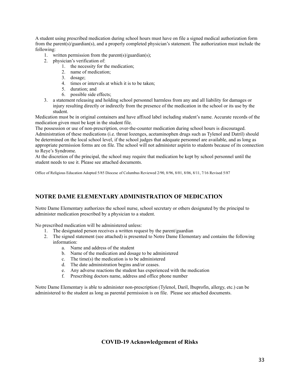A student using prescribed medication during school hours must have on file a signed medical authorization form from the parent(s)/guardian(s), and a properly completed physician's statement. The authorization must include the following:

- 1. written permission from the parent(s)/guardian(s);
- 2. physician's verification of:
	- 1. the necessity for the medication;
	- 2. name of medication;
	- 3. dosage;
	- 4. times or intervals at which it is to be taken;
	- 5. duration; and
	- 6. possible side effects;
- 3. a statement releasing and holding school personnel harmless from any and all liability for damages or injury resulting directly or indirectly from the presence of the medication in the school or its use by the student.

Medication must be in original containers and have affixed label including student's name. Accurate records of the medication given must be kept in the student file.

The possession or use of non-prescription, over-the-counter medication during school hours is discouraged. Administration of these medications (i.e. throat lozenges, acetaminophen drugs such as Tylenol and Datril) should be determined on the local school level, if the school judges that adequate personnel are available, and as long as appropriate permission forms are on file. The school will not administer aspirin to students because of its connection to Reye's Syndrome.

At the discretion of the principal, the school may require that medication be kept by school personnel until the student needs to use it. Please see attached documents.

Office of Religious Education Adopted 5/85 Diocese of Columbus Reviewed 2/90, 8/96, 8/01, 8/06, 8/11, 7/16 Revised 5/87

# **NOTRE DAME ELEMENTARY ADMINISTRATION OF MEDICATION**

Notre Dame Elementary authorizes the school nurse, school secretary or others designated by the principal to administer medication prescribed by a physician to a student.

No prescribed medication will be administered unless:

- 1. The designated person receives a written request by the parent/guardian
- 2. The signed statement (see attached) is presented to Notre Dame Elementary and contains the following information:
	- a. Name and address of the student
	- b. Name of the medication and dosage to be administered
	- c. The time(s) the medication is to be administered
	- d. The date administration begins and/or ceases.
	- e. Any adverse reactions the student has experienced with the medication
	- f. Prescribing doctors name, address and office phone number

Notre Dame Elementary is able to administer non-prescription (Tylenol, Daril, Ibuprofin, allergy, etc.) can be administered to the student as long as parental permission is on file. Please see attached documents.

### **COVID-19 Acknowledgement of Risks**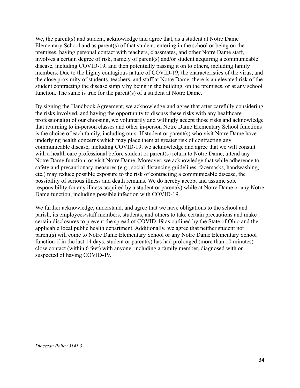We, the parent(s) and student, acknowledge and agree that, as a student at Notre Dame Elementary School and as parent(s) of that student, entering in the school or being on the premises, having personal contact with teachers, classmates, and other Notre Dame staff, involves a certain degree of risk, namely of parent(s) and/or student acquiring a communicable disease, including COVID-19, and then potentially passing it on to others, including family members. Due to the highly contagious nature of COVID-19, the characteristics of the virus, and the close proximity of students, teachers, and staff at Notre Dame, there is an elevated risk of the student contracting the disease simply by being in the building, on the premises, or at any school function. The same is true for the parent(s) of a student at Notre Dame.

By signing the Handbook Agreement, we acknowledge and agree that after carefully considering the risks involved, and having the opportunity to discuss these risks with any healthcare professional(s) of our choosing, we voluntarily and willingly accept those risks and acknowledge that returning to in-person classes and other in-person Notre Dame Elementary School functions is the choice of each family, including ours. If student or parent(s) who visit Notre Dame have underlying health concerns which may place them at greater risk of contracting any communicable disease, including COVID-19, we acknowledge and agree that we will consult with a health care professional before student or parent(s) return to Notre Dame, attend any Notre Dame function, or visit Notre Dame. Moreover, we acknowledge that while adherence to safety and precautionary measures (e.g., social distancing guidelines, facemasks, handwashing, etc.) may reduce possible exposure to the risk of contracting a communicable disease, the possibility of serious illness and death remains. We do hereby accept and assume sole responsibility for any illness acquired by a student or parent(s) while at Notre Dame or any Notre Dame function, including possible infection with COVID-19.

We further acknowledge, understand, and agree that we have obligations to the school and parish, its employees/staff members, students, and others to take certain precautions and make certain disclosures to prevent the spread of COVID-19 as outlined by the State of Ohio and the applicable local public health department. Additionally, we agree that neither student nor parent(s) will come to Notre Dame Elementary School or any Notre Dame Elementary School function if in the last 14 days, student or parent(s) has had prolonged (more than 10 minutes) close contact (within 6 feet) with anyone, including a family member, diagnosed with or suspected of having COVID-19.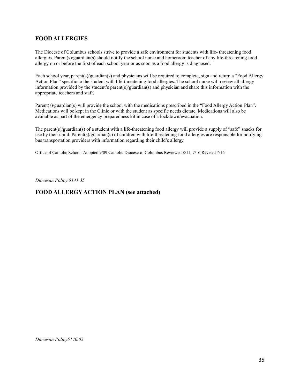# **FOOD ALLERGIES**

The Diocese of Columbus schools strive to provide a safe environment for students with life- threatening food allergies. Parent(s)/guardian(s) should notify the school nurse and homeroom teacher of any life-threatening food allergy on or before the first of each school year or as soon as a food allergy is diagnosed.

Each school year, parent(s)/guardian(s) and physicians will be required to complete, sign and return a "Food Allergy Action Plan" specific to the student with life-threatening food allergies. The school nurse will review all allergy information provided by the student's parent(s)/guardian(s) and physician and share this information with the appropriate teachers and staff.

Parent(s)/guardian(s) will provide the school with the medications prescribed in the "Food Allergy Action Plan". Medications will be kept in the Clinic or with the student as specific needs dictate. Medications will also be available as part of the emergency preparedness kit in case of a lockdown/evacuation.

The parent(s)/guardian(s) of a student with a life-threatening food allergy will provide a supply of "safe" snacks for use by their child. Parent(s)/guardian(s) of children with life-threatening food allergies are responsible for notifying bus transportation providers with information regarding their child's allergy.

Office of Catholic Schools Adopted 9/09 Catholic Diocese of Columbus Reviewed 8/11, 7/16 Revised 7/16

*Diocesan Policy 5141.35*

## **FOOD ALLERGY ACTION PLAN (see attached)**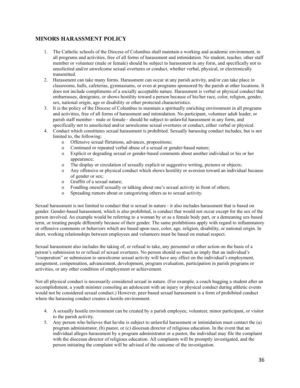# **MINORS HARASSMENT POLICY**

- 1. The Catholic schools of the Diocese of Columbus shall maintain a working and academic environment, in all programs and activities, free of all forms of harassment and intimidation. No student, teacher, other staff member or volunteer (male or female) should be subject to harassment in any form, and specifically not to unsolicited and/or unwelcome sexual overtures or conduct, whether verbal, physical, or electronically transmitted.
- 2. Harassment can take many forms. Harassment can occur at any parish activity, and/or can take place in classrooms, halls, cafeterias, gymnasiums, or even at programs sponsored by the parish at other locations. It does not include compliments of a socially acceptable nature. Harassment is verbal or physical conduct that embarrasses, denigrates, or shows hostility toward a person because of his/her race, color, religion, gender, sex, national origin, age or disability or other protected characteristics.
- 3. It is the policy of the Diocese of Columbus to maintain a spiritually enriching environment in all programs and activities, free of all forms of harassment and intimidation. No participant, volunteer adult leader, or parish staff member ‐ male or female ‐ should be subject to unlawful harassment in any form, and specifically not to unsolicited and/or unwelcome sexual overtures or conduct, either verbal or physical.
- 4. Conduct which constitutes sexual harassment is prohibited. Sexually harassing conduct includes, but is not limited to, the following:
	- o Offensive sexual flirtations, advances, propositions;
	- o Continued or repeated verbal abuse of a sexual or gender‐based nature;
	- o Explicit or degrading sexual or gender‐based comments about another individual or his or her appearance;
	- o The display or circulation of sexually explicit or suggestive writing, pictures or objects;
	- o Any offensive or physical conduct which shows hostility or aversion toward an individual because of gender or sex;
	- o Graffiti of a sexual nature;
	- o Fondling oneself sexually or talking about one's sexual activity in front of others;
	- o Spreading rumors about or categorizing others as to sexual activity.

Sexual harassment is not limited to conduct that is sexual in nature ‐ it also includes harassment that is based on gender. Gender-based harassment, which is also prohibited, is conduct that would not occur except for the sex of the person involved. An example would be referring to a woman by or as a female body part, or a demeaning sex‐based term, or treating people differently because of their gender. The same prohibitions apply with regard to inflammatory or offensive comments or behaviors which are based upon race, color, age, religion, disability, or national origin. In short, working relationships between employees and volunteers must be based on mutual respect.

Sexual harassment also includes the taking of, or refusal to take, any personnel or other action on the basis of a person's submission to or refusal of sexual overtures. No person should so much as imply that an individual's "cooperation" or submission to unwelcome sexual activity will have any effect on the individual's employment, assignment, compensation, advancement, development, program evaluation, participation in parish programs or activities, or any other condition of employment or achievement.

Not all physical conduct is necessarily considered sexual in nature. (For example, a coach hugging a student after an accomplishment, a youth minister consoling an adolescent with an injury or physical conduct during athletic events would not be considered sexual conduct.) However, peer-based sexual harassment is a form of prohibited conduct where the harassing conduct creates a hostile environment.

- 4. A sexually hostile environment can be created by a parish employee, volunteer, minor participant, or visitor to the parish activity.
- 5. Any person who believes that he/she is subject to unlawful harassment or intimidation must contact the (a) program administrator, (b) pastor, or (c) diocesan director of religious education. In the event that an individual alleges harassment by a program administrator or a pastor, the individual may file the complaint with the diocesan director of religious education. All complaints will be promptly investigated, and the person initiating the complaint will be advised of the outcome of the investigation.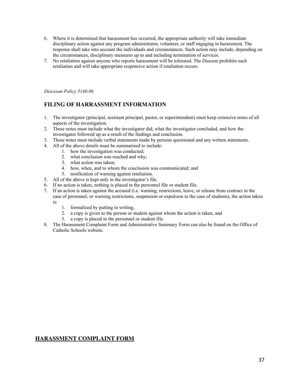- 6. Where it is determined that harassment has occurred, the appropriate authority will take immediate disciplinary action against any program administrator, volunteer, or staff engaging in harassment. The response shall take into account the individuals and circumstances. Such action may include, depending on the circumstances, disciplinary measures up to and including termination of services.
- 7. No retaliation against anyone who reports harassment will be tolerated. The Diocese prohibits such retaliation and will take appropriate responsive action if retaliation occurs.

*Diocesan Policy 5140.06*

# **FILING OF HARRASSMENT INFORMATION**

- 1. The investigator (principal, assistant principal, pastor, or superintendent) must keep extensive notes of all aspects of the investigation.
- 2. These notes must include what the investigator did, what the investigator concluded, and how the investigator followed up as a result of the findings and conclusion.
- 3. These notes must include verbal statements made by persons questioned and any written statements.
- 4. All of the above details must be summarized to include:
	- 1. how the investigation was conducted;
	- 2. what conclusion was reached and why;
	- 3. what action was taken;
	- 4. how, when, and to whom the conclusion was communicated; and
	- 5. notification of warning against retaliation.
- 5. All of the above is kept only in the investigator's file.
- 6. If no action is taken, nothing is placed in the personnel file or student file.
- 7. If an action is taken against the accused (i.e. warning, restrictions, leave, or release from contract in the case of personnel, or warning restrictions, suspension or expulsion in the case of students), the action taken is:
	- 1. formalized by putting in writing,
	- 2. a copy is given to the person or student against whom the action is taken, and
	- 3. a copy is placed in the personnel or student file.
- 8. The Harassment Complaint Form and Administrative Summary Form can also be found on the Office of Catholic Schools website.

### **HARASSMENT COMPLAINT FORM**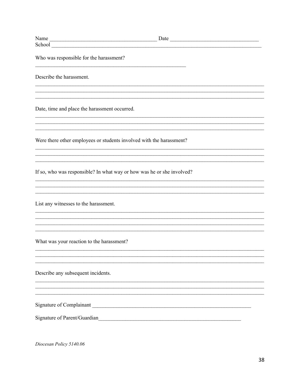| Who was responsible for the harassment?                                |  |
|------------------------------------------------------------------------|--|
| Describe the harassment.                                               |  |
| Date, time and place the harassment occurred.                          |  |
| Were there other employees or students involved with the harassment?   |  |
| If so, who was responsible? In what way or how was he or she involved? |  |
| List any witnesses to the harassment.                                  |  |
| What was your reaction to the harassment?                              |  |
| Describe any subsequent incidents.                                     |  |
| Signature of Complainant<br>Signature of Parent/Guardian               |  |

Diocesan Policy 5140.06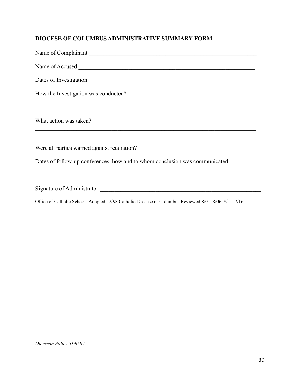# **DIOCESE OF COLUMBUS ADMINISTRATIVE SUMMARY FORM**

| Name of Complainant                                                         |
|-----------------------------------------------------------------------------|
|                                                                             |
|                                                                             |
| How the Investigation was conducted?                                        |
| What action was taken?                                                      |
|                                                                             |
| Dates of follow-up conferences, how and to whom conclusion was communicated |
|                                                                             |

Office of Catholic Schools Adopted 12/98 Catholic Diocese of Columbus Reviewed 8/01, 8/06, 8/11, 7/16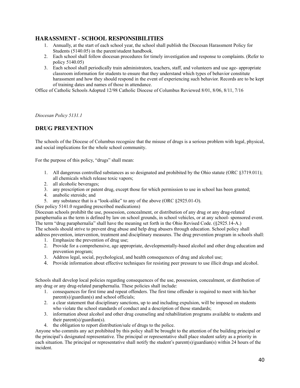# **HARASSMENT - SCHOOL RESPONSIBILITIES**

- 1. Annually, at the start of each school year, the school shall publish the Diocesan Harassment Policy for Students (5140.05) in the parent/student handbook.
- 2. Each school shall follow diocesan procedures for timely investigation and response to complaints. (Refer to policy 5140.05)
- 3. Each school shall periodically train administrators, teachers, staff, and volunteers and use age- appropriate classroom information for students to ensure that they understand which types of behavior constitute harassment and how they should respond in the event of experiencing such behavior. Records are to be kept of training dates and names of those in attendance.

Office of Catholic Schools Adopted 12/98 Catholic Diocese of Columbus Reviewed 8/01, 8/06, 8/11, 7/16

*Diocesan Policy 5131.1*

# **DRUG PREVENTION**

The schools of the Diocese of Columbus recognize that the misuse of drugs is a serious problem with legal, physical, and social implications for the whole school community.

For the purpose of this policy, "drugs" shall mean:

- 1. All dangerous controlled substances as so designated and prohibited by the Ohio statute (ORC §3719.011); all chemicals which release toxic vapors;
- 2. all alcoholic beverages;
- 3. any prescription or patent drug, except those for which permission to use in school has been granted;
- 4. anabolic steroids; and
- 5. any substance that is a "look-alike" to any of the above (ORC §2925.01-O).

(See policy 5141.0 regarding prescribed medications)

Diocesan schools prohibit the use, possession, concealment, or distribution of any drug or any drug-related paraphernalia as the term is defined by law on school grounds, in school vehicles, or at any school- sponsored event. The term "drug paraphernalia" shall have the meaning set forth in the Ohio Revised Code. (§2925.14-A.)

The schools should strive to prevent drug abuse and help drug abusers through education. School policy shall address prevention, intervention, treatment and disciplinary measures. The drug prevention program in schools shall: 1. Emphasize the prevention of drug use;

- 2. Provide for a comprehensive, age appropriate, developmentally-based alcohol and other drug education and prevention program;
- 3. Address legal, social, psychological, and health consequences of drug and alcohol use;
- 4. Provide information about effective techniques for resisting peer pressure to use illicit drugs and alcohol.

Schools shall develop local policies regarding consequences of the use, possession, concealment, or distribution of any drug or any drug-related paraphernalia. These policies shall include:

- 1. consequences for first time and repeat offenders. The first time offender is required to meet with his/her parent(s)/guardian(s) and school officials;
- 2. a clear statement that disciplinary sanctions, up to and including expulsion, will be imposed on students who violate the school standards of conduct and a description of those standards;
- 3. information about alcohol and other drug counseling and rehabilitation programs available to students and their parent(s)/guardian(s).
- 4. the obligation to report distribution/sale of drugs to the police.

Anyone who commits any act prohibited by this policy shall be brought to the attention of the building principal or the principal's designated representative. The principal or representative shall place student safety as a priority in each situation. The principal or representative shall notify the student's parent(s)/guardian(s) within 24 hours of the incident.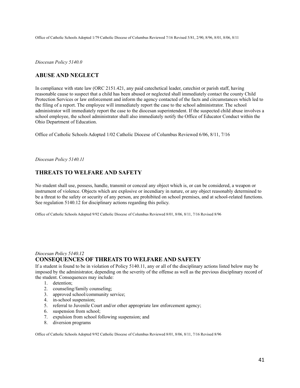Office of Catholic Schools Adopted 1/79 Catholic Diocese of Columbus Reviewed 7/16 Revised 5/81, 2/90, 8/96, 8/01, 8/06, 8/11

*Diocesan Policy 5140.0*

# **ABUSE AND NEGLECT**

In compliance with state law (ORC 2151.421, any paid catechetical leader, catechist or parish staff, having reasonable cause to suspect that a child has been abused or neglected shall immediately contact the county Child Protection Services or law enforcement and inform the agency contacted of the facts and circumstances which led to the filing of a report. The employee will immediately report the case to the school administrator. The school administrator will immediately report the case to the diocesan superintendent. If the suspected child abuse involves a school employee, the school administrator shall also immediately notify the Office of Educator Conduct within the Ohio Department of Education.

Office of Catholic Schools Adopted 1/02 Catholic Diocese of Columbus Reviewed 6/06, 8/11, 7/16

*Diocesan Policy 5140.11*

# **THREATS TO WELFARE AND SAFETY**

No student shall use, possess, handle, transmit or conceal any object which is, or can be considered, a weapon or instrument of violence. Objects which are explosive or incendiary in nature, or any object reasonably determined to be a threat to the safety or security of any person, are prohibited on school premises, and at school-related functions. See regulation 5140.12 for disciplinary actions regarding this policy.

Office of Catholic Schools Adopted 9/92 Catholic Diocese of Columbus Reviewed 8/01, 8/06, 8/11, 7/16 Revised 8/96

### *Diocesan Policy 5140.12* **CONSEQUENCES OF THREATS TO WELFARE AND SAFETY**

If a student is found to be in violation of Policy 5140.11, any or all of the disciplinary actions listed below may be imposed by the administrator, depending on the severity of the offense as well as the previous disciplinary record of the student. Consequences may include:

- 1. detention;
- 2. counseling/family counseling;
- 3. approved school/community service;
- 4. in-school suspension;
- 5. referral to Juvenile Court and/or other appropriate law enforcement agency;
- 6. suspension from school;
- 7. expulsion from school following suspension; and
- 8. diversion programs

Office of Catholic Schools Adopted 9/92 Catholic Diocese of Columbus Reviewed 8/01, 8/06, 8/11, 7/16 Revised 8/96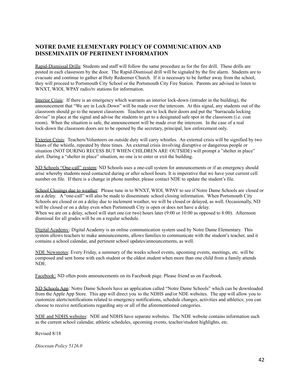# **NOTRE DAME ELEMENTARY POLICY OF COMMUNICATION AND DISSEMINATIN OF PERTINENT INFORMATION**

Rapid-Dismissal Drills: Students and staff will follow the same procedure as for the fire drill. These drills are posted in each classroom by the door. The Rapid-Dismissal drill will be signaled by the fire alarm. Students are to evacuate and continue to gather at Holy Redeemer Church. If it is necessary to be further away from the school, they will proceed to Portsmouth City School or the Portsmouth City Fire Station. Parents are advised to listen to WNXT, WIOI, WPAY radio/tv stations for information.

Interior Crisis: If there is an emergency which warrants an interior lock-down (intruder in the building), the announcement that "We are in Lock-Down" will be made over the intercom. At this signal, any students out of the classroom should go to the nearest classroom. Teachers are to lock their doors and put the "barracuda locking devise" in place at the signal and advise the students to get to a designated safe spot in the classroom (i.e. coat room). When the situation is safe, the announcement will be made over the intercom. In the case of a real lock-down the classroom doors are to be opened by the secretary, principal, law enforcement only.

Exterior Crisis: Teachers/Volunteers on outside duty will carry whistles. An external crisis will be signified by two blasts of the whistle, repeated by three times. An external crisis involving disruptive or dangerous people or situation (NOT DURING RECESS BUT WHEN CHILDREN ARE OUTSIDE) will prompt a "shelter in place" alert. During a "shelter in place" situation, no one is to enter or exit the building.

ND Schools "One-call" system: ND Schools uses a one-call system for announcements or if an emergency should arise whereby students need contacted during or after school hours. It is imperative that we have your current cell number on file. If there is a change in phone number, please contact NDE to update the student's file.

School Closings due to weather: Please tune in to WNXT, WIOI, WPAY to see if Notre Dame Schools are closed or on a delay. A "one-call" will also be made to disseminate school closing information. When Portsmouth City Schools are closed or on a delay due to inclement weather, we will be closed or delayed, as well. Occasionally, ND will be closed or on a delay even when Portsmouth City is open or does not have a delay. When we are on a delay, school will start one (or two) hours later (9:00 or 10:00 as opposed to 8:00). Afternoon dismissal for all grades will be on a regular schedule.

Digital Academy: Digital Academy is an online communication system used by Notre Dame Elementary. This system allows teachers to make announcements, allows families to communicate with the student's teacher, and it contains a school calendar, and pertinent school updates/announcements, as well.

NDE Newsnotes: Every Friday, a summary of the weeks school events, upcoming events, meetings, etc. will be composed and sent home with each student or the oldest student when more than one child from a family attends NDE.

Facebook: ND often posts announcements on its Facebook page. Please friend us on Facebook.

ND Schools App: Notre Dame Schools have an application called "Notre Dame Schools" which can be downloaded from the Apple App Store. This app will direct you to the NDHS and/or NDE websites. The app will allow you to customize alerts/notifications related to emergency notifications, schedule changes, activities and athletics; you can choose to receive notifications regarding any or all of the aforementioned categories.

NDE and NDHS websites: NDE and NDHS have separate websites. The NDE website contains information such as the current school calendar, athletic schedules, upcoming events, teacher/student highlights, etc.

Revised 8/18

*Diocesan Policy 5126.0*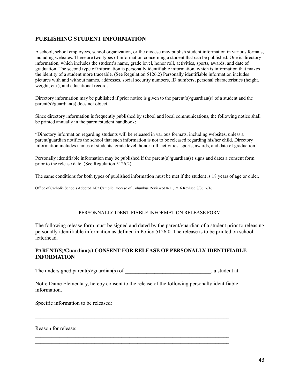# **PUBLISHING STUDENT INFORMATION**

A school, school employees, school organization, or the diocese may publish student information in various formats, including websites. There are two types of information concerning a student that can be published. One is directory information, which includes the student's name, grade level, honor roll, activities, sports, awards, and date of graduation. The second type of information is personally identifiable information, which is information that makes the identity of a student more traceable. (See Regulation 5126.2) Personally identifiable information includes pictures with and without names, addresses, social security numbers, ID numbers, personal characteristics (height, weight, etc.), and educational records.

Directory information may be published if prior notice is given to the parent(s)/guardian(s) of a student and the parent(s)/guardian(s) does not object.

Since directory information is frequently published by school and local communications, the following notice shall be printed annually in the parent/student handbook:

"Directory information regarding students will be released in various formats, including websites, unless a parent/guardian notifies the school that such information is not to be released regarding his/her child. Directory information includes names of students, grade level, honor roll, activities, sports, awards, and date of graduation."

Personally identifiable information may be published if the parent(s)/guardian(s) signs and dates a consent form prior to the release date. (See Regulation 5126.2)

The same conditions for both types of published information must be met if the student is 18 years of age or older.

Office of Catholic Schools Adopted 1/02 Catholic Diocese of Columbus Reviewed 8/11, 7/16 Revised 8/06, 7/16

#### PERSONNALLY IDENTIFIABLE INFORMATION RELEASE FORM

The following release form must be signed and dated by the parent/guardian of a student prior to releasing personally identifiable information as defined in Policy 5126.0. The release is to be printed on school letterhead.

### **PARENT(S)/Guardian(s) CONSENT FOR RELEASE OF PERSONALLY IDENTIFIABLE INFORMATION**

The undersigned parent(s)/guardian(s) of  $\qquad \qquad$  , a student at

Notre Dame Elementary, hereby consent to the release of the following personally identifiable information.

 $\mathcal{L}_\text{max} = \frac{1}{2} \sum_{i=1}^n \mathcal{L}_\text{max} = \frac{1}{2} \sum_{i=1}^n \mathcal{L}_\text{max} = \frac{1}{2} \sum_{i=1}^n \mathcal{L}_\text{max} = \frac{1}{2} \sum_{i=1}^n \mathcal{L}_\text{max} = \frac{1}{2} \sum_{i=1}^n \mathcal{L}_\text{max} = \frac{1}{2} \sum_{i=1}^n \mathcal{L}_\text{max} = \frac{1}{2} \sum_{i=1}^n \mathcal{L}_\text{max} = \frac{1}{2} \sum_{i=$  $\mathcal{L}_\text{max} = \frac{1}{2} \sum_{i=1}^n \mathcal{L}_\text{max} = \frac{1}{2} \sum_{i=1}^n \mathcal{L}_\text{max} = \frac{1}{2} \sum_{i=1}^n \mathcal{L}_\text{max} = \frac{1}{2} \sum_{i=1}^n \mathcal{L}_\text{max} = \frac{1}{2} \sum_{i=1}^n \mathcal{L}_\text{max} = \frac{1}{2} \sum_{i=1}^n \mathcal{L}_\text{max} = \frac{1}{2} \sum_{i=1}^n \mathcal{L}_\text{max} = \frac{1}{2} \sum_{i=$ 

 $\mathcal{L}_\text{max} = \frac{1}{2} \sum_{i=1}^n \mathcal{L}_\text{max} = \frac{1}{2} \sum_{i=1}^n \mathcal{L}_\text{max} = \frac{1}{2} \sum_{i=1}^n \mathcal{L}_\text{max} = \frac{1}{2} \sum_{i=1}^n \mathcal{L}_\text{max} = \frac{1}{2} \sum_{i=1}^n \mathcal{L}_\text{max} = \frac{1}{2} \sum_{i=1}^n \mathcal{L}_\text{max} = \frac{1}{2} \sum_{i=1}^n \mathcal{L}_\text{max} = \frac{1}{2} \sum_{i=$ 

Specific information to be released:

Reason for release: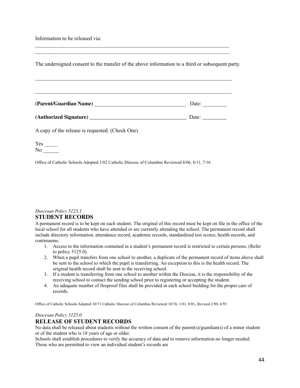Information to be released via:

The undersigned consent to the transfer of the above information to a third or subsequent party.

 $\mathcal{L}_\text{max} = \frac{1}{2} \sum_{i=1}^n \mathcal{L}_\text{max} = \frac{1}{2} \sum_{i=1}^n \mathcal{L}_\text{max} = \frac{1}{2} \sum_{i=1}^n \mathcal{L}_\text{max} = \frac{1}{2} \sum_{i=1}^n \mathcal{L}_\text{max} = \frac{1}{2} \sum_{i=1}^n \mathcal{L}_\text{max} = \frac{1}{2} \sum_{i=1}^n \mathcal{L}_\text{max} = \frac{1}{2} \sum_{i=1}^n \mathcal{L}_\text{max} = \frac{1}{2} \sum_{i=$ 

| (Parent/Guardian Name) | Date: |
|------------------------|-------|
|                        |       |

 $\mathcal{L}_\mathcal{L} = \mathcal{L}_\mathcal{L} = \mathcal{L}_\mathcal{L} = \mathcal{L}_\mathcal{L} = \mathcal{L}_\mathcal{L} = \mathcal{L}_\mathcal{L} = \mathcal{L}_\mathcal{L} = \mathcal{L}_\mathcal{L} = \mathcal{L}_\mathcal{L} = \mathcal{L}_\mathcal{L} = \mathcal{L}_\mathcal{L} = \mathcal{L}_\mathcal{L} = \mathcal{L}_\mathcal{L} = \mathcal{L}_\mathcal{L} = \mathcal{L}_\mathcal{L} = \mathcal{L}_\mathcal{L} = \mathcal{L}_\mathcal{L}$ 

| (Authorized Signature) |  |
|------------------------|--|
|------------------------|--|

A copy of the release is requested. (Check One)

| Yes |  |
|-----|--|
| N٥  |  |

Office of Catholic Schools Adopted 1/02 Catholic Diocese of Columbus Reviewed 8/06, 8/11, 7/16

### *Diocesan Policy 5125.1* **STUDENT RECORDS**

A permanent record is to be kept on each student. The original of this record must be kept on file in the office of the local school for all students who have attended or are currently attending the school. The permanent record shall include directory information, attendance record, academic records, standardized test scores, health records, and continuums.

- 1. Access to the information contained in a student's permanent record is restricted to certain persons. (Refer to policy 5125.0).
- 2. When a pupil transfers from one school to another, a duplicate of the permanent record of items above shall be sent to the school to which the pupil is transferring. An exception to this is the health record. The original health record shall be sent to the receiving school.
- 3. If a student is transferring from one school to another within the Diocese, it is the responsibility of the receiving school to contact the sending school prior to registering or accepting the student.
- 4. An adequate number of fireproof files shall be provided in each school building for the proper care of records.

Office of Catholic Schools Adopted 10/71 Catholic Diocese of Columbus Reviewed 10/76, 1/81, 8/01, Revised 2/90, 6/93

#### *Diocesan Policy 5125.0*

# **RELEASE OF STUDENT RECORDS**

No data shall be released about students without the written consent of the parent(s)/guardian(s) of a minor student or of the student who is 18 years of age or older.

Schools shall establish procedures to verify the accuracy of data and to remove information no longer needed. Those who are permitted to view an individual student's records are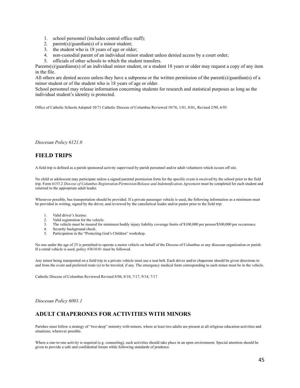- 1. school personnel (includes central office staff);
- 2. parent(s)/guardian(s) of a minor student:
- 3. the student who is 18 years of age or older;
- 4. non-custodial parent of an individual minor student unless denied access by a court order;
- 5. officials of other schools to which the student transfers.

Parents(s)/guardians(s) of an individual minor student, or a student 18 years or older may request a copy of any item in the file.

All others are denied access unless they have a subpoena or the written permission of the parent(s)/guardian(s) of a minor student or of the student who is 18 years of age or older.

School personnel may release information concerning students for research and statistical purposes as long as the individual student's identity is protected.

Office of Catholic Schools Adopted 10/71 Catholic Diocese of Columbus Reviewed 10/76, 1/81, 8/01, Revised 2/90, 6/93

*Diocesan Policy 6121.0*

# **FIELD TRIPS**

A field trip is defined as a parish sponsored activity supervised by parish personnel and/or adult volunteers which occurs off site.

No child or adolescent may participate unless a signed parental permission form for the specific event is received by the school prior to the field trip. Form 6153.2 *Diocese of Columbus Registration/Permission/Release and Indemnification Agreement* must be completed for each student and returned to the appropriate adult leader.

Whenever possible, bus transportation should be provided. If a private passenger vehicle is used, the following information as a minimum must be provided in writing, signed by the driver, and reviewed by the catechetical leader and/or pastor prior to the field trip:

- 1. Valid driver's license.
- 2. Valid registration for the vehicle.<br>3. The vehicle must be insured for r
- The vehicle must be insured for minimum bodily injury liability coverage limits of \$100,000 per person/\$300,000 per occurrence.
- 4. Security background check.
- 5. Participation in the "Protecting God's Children" workshop.

No one under the age of 25 is permitted to operate a motor vehicle on behalf of the Diocese of Columbus or any diocesan organization or parish. If a rental vehicle is used, policy #3610.01 must be followed.

Any minor being transported on a field trip in a private vehicle must use a seat belt. Each driver and/or chaperone should be given directions to and from the event and preferred route (s) to be traveled, if any. The emergency medical form corresponding to each minor must be in the vehicle.

Catholic Diocese of Columbus Reviewed Revised 8/04, 8/10, 7/17, 9/14, 7/17

*Diocesan Policy 6001.1*

# **ADULT CHAPERONES FOR ACTIVITIES WITH MINORS**

Parishes must follow a strategy of "two-deep" ministry with minors, where at least two adults are present at all religious education activities and situations, wherever possible.

Where a one-to-one activity is required (e.g. counseling), such activities should take place in an open environment. Special attention should be given to provide a safe and confidential forum while following standards of prudence.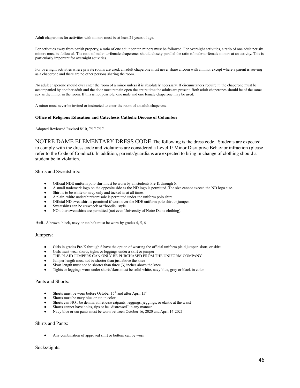Adult chaperones for activities with minors must be at least 21 years of age.

For activities away from parish property, a ratio of one adult per ten minors must be followed. For overnight activities, a ratio of one adult per six minors must be followed. The ratio of male- to-female chaperones should closely parallel the ratio of male-to-female minors at an activity. This is particularly important for overnight activities.

For overnight activities where private rooms are used, an adult chaperone must never share a room with a minor except where a parent is serving as a chaperone and there are no other persons sharing the room.

No adult chaperone should ever enter the room of a minor unless it is absolutely necessary. If circumstances require it, the chaperone must be accompanied by another adult and the door must remain open the entire time the adults are present. Both adult chaperones should be of the same sex as the minor in the room. If this is not possible, one male and one female chaperone may be used.

A minor must never be invited or instructed to enter the room of an adult chaperone.

#### **Office of Religious Education and Catechesis Catholic Diocese of Columbus**

Adopted Reviewed Revised 8/10, 7/17 7/17

NOTRE DAME ELEMENTARY DRESS CODE The following is the dress code. Students are expected to comply with the dress code and violations are considered a Level 1/ Minor Disruptive Behavior infraction (please refer to the Code of Conduct). In addition, parents/guardians are expected to bring in change of clothing should a student be in violation.

Shirts and Sweatshirts:

- Official NDE uniform polo shirt must be worn by all students Pre-K through 6.
- A small trademark logo on the opposite side as the ND logo is permitted. The size cannot exceed the ND logo size.
- Shirt is to be white or navy only and tucked in at all times.
- A plain, white undershirt/camisole is permitted under the uniform polo shirt.
- Official ND sweatshirt is permitted if worn over the NDE uniform polo shirt or jumper.
- Sweatshirts can be crewneck or "hoodie" style.
- NO other sweatshirts are permitted (not even University of Notre Dame clothing).

Belt: A brown, black, navy or tan belt must be worn by grades 4, 5, 6

#### Jumpers:

- Girls in grades Pre-K through 6 have the option of wearing the official uniform plaid jumper, skort, or skirt
- Girls must wear shorts, tights or leggings under a skirt or jumper
- THE PLAID JUMPERS CAN ONLY BE PURCHASED FROM THE UNIFORM COMPANY
- Jumper length must not be shorter than just above the knee
- Skort length must not be shorter than three  $(3)$  inches above the knee
- Tights or leggings worn under shorts/skort must be solid white, navy blue, grey or black in color

#### Pants and Shorts:

- Shorts must be worn before October 15<sup>th</sup> and after April 15<sup>th</sup>
- Shorts must be navy blue or tan in color
- Shorts can NOT be denim, athletic/sweatpants, leggings, jeggings, or elastic at the waist
- Shorts cannot have holes, rips or be "distressed" in any manner
- Navy blue or tan pants must be worn between October 16, 2020 and April 14 2021

#### Shirts and Pants:

Any combination of approved shirt or bottom can be worn

#### Socks/tights: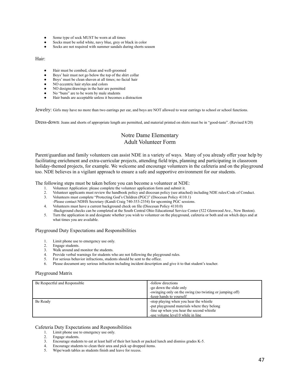- Some type of sock MUST be worn at all times
- Socks must be solid white, navy blue, grey or black in color
- Socks are not required with summer sandals during shorts season

Hair:

- Hair must be combed, clean and well-groomed
- Boys' hair must not go below the top of the shirt collar
- Boys' must be clean shaven at all times; no facial hair
- NO eccentric hair styles and colors
- NO designs/drawings in the hair are permitted
- No "buns" are to be worn by male students
- Hair bands are acceptable unless it becomes a distraction

Jewelry: Girls may have no more than two earrings per ear, and boys are NOT allowed to wear earrings to school or school functions.

Dress-down: Jeans and shorts of appropriate length are permitted, and material printed on shirts must be in "good-taste". (Revised 8/20)

# Notre Dame Elementary Adult Volunteer Form

Parent/guardian and family volunteers can assist NDE in a variety of ways. Many of you already offer your help by facilitating enrichment and extra-curricular projects, attending field trips, planning and participating in classroom holiday-themed projects, for example. We welcome and encourage volunteers in the cafeteria and on the playground too. NDE believes in a vigilant approach to ensure a safe and supportive environment for our students.

The following steps must be taken before you can become a volunteer at NDE:

- 1. Volunteer Application: please complete the volunteer application form and submit it.
- 2. Volunteer applicants must review the handbook policy and diocesan policy (see attached) including NDE rules/Code of Conduct.<br>3. Volunteers must complete "Protecting God's Children (PGC)" (Diocesan Policy 4110.1)
- 3. Volunteers must complete "Protecting God's Children (PGC)" (Diocesan Policy 4110.1)
- -Please contact NDHS Secretary (Kandi Craig 740-353-2354) for upcoming PGC sessions.
- 4. Volunteers must have a current background check on file (Diocesan Policy 4110.0)
- -Background checks can be completed at the South Central Ohio Educational Service Center (522 Glenwood Ave., New Boston).
- 5. Turn the application in and designate whether you wish to volunteer on the playground, cafeteria or both and on which days and at what times you are available.

#### Playground Duty Expectations and Responsibilities

- 1. Limit phone use to emergency use only.
- 2. Engage students.<br>3. Walk around and
- Walk around and monitor the students.
- Provide verbal warnings for students who are not following the playground rules.
- 5. For serious behavior infractions, students should be sent to the office.
- 6. Please document any serious infraction including incident description and give it to that student's teacher.

#### Playground Matrix

| Be Respectful and Responsible | -follow directions<br>-go down the slide only<br>-swinging only on the swing (no twisting or jumping off)<br>-keep hands to yourself                                     |
|-------------------------------|--------------------------------------------------------------------------------------------------------------------------------------------------------------------------|
| Be Ready                      | -stop playing when you hear the whistle<br>-put playground materials where they belong<br>-line up when you hear the second whistle<br>-use volume level 0 while in line |

#### Cafeteria Duty Expectations and Responsibilities

- 1. Limit phone use to emergency use only.
- 2. Engage students.
- 3. Encourage students to eat at least half of their hot lunch or packed lunch and dismiss grades K-5.
- 4. Encourage students to clean their area and pick up dropped items.
- 5. Wipe/wash tables as students finish and leave for recess.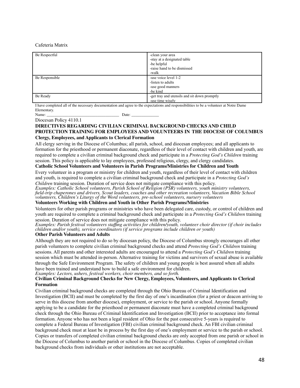#### Cafeteria Matrix

| Be Respectful  | -clean your area<br>-stay at a designated table<br>-be helpful<br>-raise hand to be dismissed<br>-walk |
|----------------|--------------------------------------------------------------------------------------------------------|
| Be Responsible | -use voice level 1-2<br>-listen to adults<br>-use good manners<br>-be kind                             |
| Be Ready       | -get tray and utensils and sit down promptly<br>-use time wisely                                       |

I have completed all of the necessary documentation and agree to the expectations and responsibilities to be a volunteer at Notre Dame Elementary.

Name: \_\_\_\_\_\_\_\_\_\_\_\_\_\_\_\_\_\_\_\_\_\_\_\_\_\_\_\_\_\_\_\_\_\_\_\_\_ Date: \_\_\_\_\_\_\_\_\_\_\_\_\_\_

Diocesan Policy 4110.1

#### **DIRECTIVES REGARDING CIVILIAN CRIMINAL BACKGROUND CHECKS AND CHILD PROTECTION TRAINING FOR EMPLOYEES AND VOLUNTEERS IN THE DIOCESE OF COLUMBUS Clergy, Employees, and Applicants to Clerical Formation**

All clergy serving in the Diocese of Columbus; all parish, school, and diocesan employees; and all applicants to formation for the priesthood or permanent diaconate, regardless of their level of contact with children and youth, are required to complete a civilian criminal background check and participate in a *Protecting God's Children* training session. This policy is applicable to lay employees, professed religious, clergy, and clergy candidates.

# **Catholic School Volunteers and Volunteers in Parish Programs/Ministries for Children and Youth**

Every volunteer in a program or ministry for children and youth, regardless of their level of contact with children and youth, is required to complete a civilian criminal background check and participate in a *Protecting God's*

*Children* training session. Duration of service does not mitigate compliance with this policy. *Examples: Catholic School volunteers, Parish School of Religion (PSR) volunteers, youth ministry volunteers, field-trip chaperones and drivers, Scout leaders, coaches and other recreation volunteers, Vacation Bible School volunteers, Children's Liturgy of the Word volunteers, pre-school volunteers, nursery volunteers*

### **Volunteers Working with Children and Youth in Other Parish Programs/Ministries**

Volunteers for other parish programs or ministries who have been delegated care, custody, or control of children and youth are required to complete a criminal background check and participate in a *Protecting God's Children* training session. Duration of service does not mitigate compliance with this policy.

*Examples: Parish festival volunteers staffing activities for children/youth, volunteer choir director (if choir includes children and/or youth), service coordinators (if service programs include children or youth)*

## **Other Parish Volunteers and Adults**

Although they are not required to do so by diocesan policy, the Diocese of Columbus strongly encourages all other parish volunteers to complete civilian criminal background checks and attend *Protecting God's Children* training sessions. All parents and other interested adults are encouraged to attend a *Protecting God's Children* training session which must be attended in-person. Alternative training for victims and survivors of sexual abuse is available through the Safe Environment Program. The safety of children and young people is best assured when all adults have been trained and understand how to build a safe environment for children.

*Examples: Lectors, ushers, festival workers, choir members, and so forth.*

### **Civilian Criminal Background Checks for New Clergy, Employees, Volunteers, and Applicants to Clerical Formation**

Civilian criminal background checks are completed through the Ohio Bureau of Criminal Identification and Investigation (BCII) and must be completed by the first day of one's incardination (for a priest or deacon arriving to serve in this diocese from another diocese), employment, or service to the parish or school. Anyone formally applying to be a candidate for the priesthood or permanent diaconate must have a completed criminal background check through the Ohio Bureau of Criminal Identification and Investigation (BCII) prior to acceptance into formal formation. Anyone who has not been a legal resident of Ohio for the past consecutive 5-years is required to complete a Federal Bureau of Investigation (FBI) civilian criminal background check. An FBI civilian criminal background check must at least be in process by the first day of one's employment or service to the parish or school. Copies or transfers of completed civilian criminal background checks are only accepted from one parish or school in the Diocese of Columbus to another parish or school in the Diocese of Columbus. Copies of completed civilian background checks from individuals or other institutions are not acceptable.